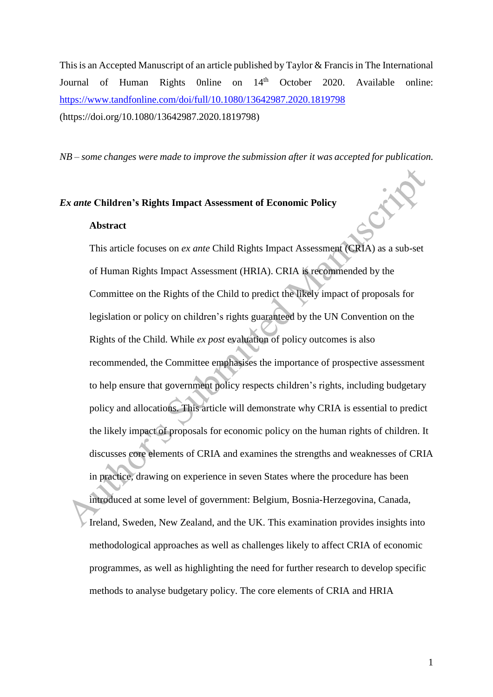This is an Accepted Manuscript of an article published by Taylor & Francis in The International Journal of Human Rights 0nline on 14<sup>th</sup> October 2020. Available online: <https://www.tandfonline.com/doi/full/10.1080/13642987.2020.1819798> (https://doi.org/10.1080/13642987.2020.1819798)

*NB – some changes were made to improve the submission after it was accepted for publication.*

### *Ex ante* **Children's Rights Impact Assessment of Economic Policy**

#### **Abstract**

This article focuses on *ex ante* Child Rights Impact Assessment (CRIA) as a sub-set of Human Rights Impact Assessment (HRIA). CRIA is recommended by the Committee on the Rights of the Child to predict the likely impact of proposals for legislation or policy on children's rights guaranteed by the UN Convention on the Rights of the Child. While *ex post* evaluation of policy outcomes is also recommended, the Committee emphasises the importance of prospective assessment to help ensure that government policy respects children's rights, including budgetary policy and allocations. This article will demonstrate why CRIA is essential to predict the likely impact of proposals for economic policy on the human rights of children. It discusses core elements of CRIA and examines the strengths and weaknesses of CRIA in practice, drawing on experience in seven States where the procedure has been introduced at some level of government: Belgium, Bosnia-Herzegovina, Canada, Ireland, Sweden, New Zealand, and the UK. This examination provides insights into methodological approaches as well as challenges likely to affect CRIA of economic programmes, as well as highlighting the need for further research to develop specific methods to analyse budgetary policy. The core elements of CRIA and HRIA

CHA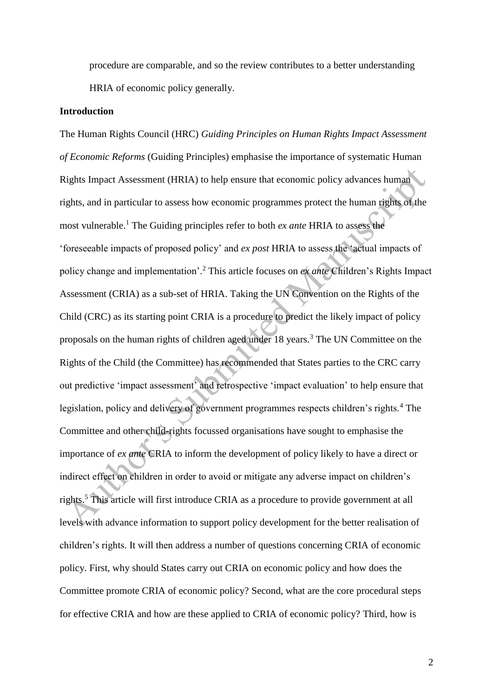procedure are comparable, and so the review contributes to a better understanding HRIA of economic policy generally.

### **Introduction**

The Human Rights Council (HRC) *Guiding Principles on Human Rights Impact Assessment of Economic Reforms* (Guiding Principles) emphasise the importance of systematic Human Rights Impact Assessment (HRIA) to help ensure that economic policy advances human rights, and in particular to assess how economic programmes protect the human rights of the most vulnerable.<sup>1</sup> The Guiding principles refer to both *ex ante* HRIA to assess the 'foreseeable impacts of proposed policy' and *ex post* HRIA to assess the 'actual impacts of policy change and implementation'.<sup>2</sup> This article focuses on *ex ante* Children's Rights Impact Assessment (CRIA) as a sub-set of HRIA. Taking the UN Convention on the Rights of the Child (CRC) as its starting point CRIA is a procedure to predict the likely impact of policy proposals on the human rights of children aged under 18 years.<sup>3</sup> The UN Committee on the Rights of the Child (the Committee) has recommended that States parties to the CRC carry out predictive 'impact assessment' and retrospective 'impact evaluation' to help ensure that legislation, policy and delivery of government programmes respects children's rights.<sup>4</sup> The Committee and other child-rights focussed organisations have sought to emphasise the importance of *ex ante* CRIA to inform the development of policy likely to have a direct or indirect effect on children in order to avoid or mitigate any adverse impact on children's rights.<sup>5</sup> This article will first introduce CRIA as a procedure to provide government at all levels with advance information to support policy development for the better realisation of children's rights. It will then address a number of questions concerning CRIA of economic policy. First, why should States carry out CRIA on economic policy and how does the Committee promote CRIA of economic policy? Second, what are the core procedural steps for effective CRIA and how are these applied to CRIA of economic policy? Third, how is

2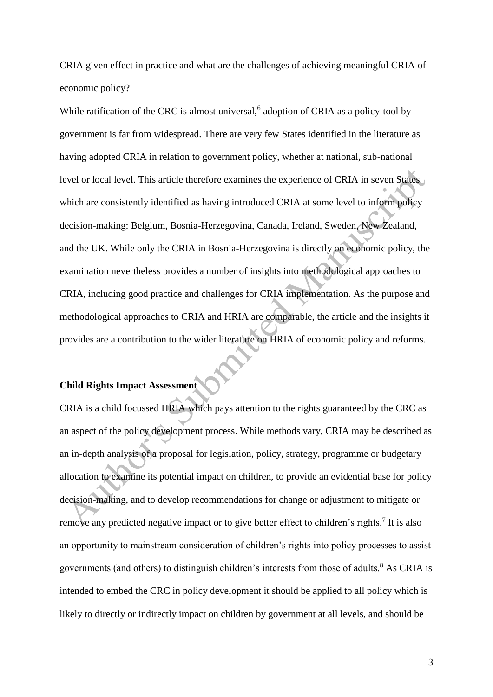CRIA given effect in practice and what are the challenges of achieving meaningful CRIA of economic policy?

While ratification of the CRC is almost universal, $6$  adoption of CRIA as a policy-tool by government is far from widespread. There are very few States identified in the literature as having adopted CRIA in relation to government policy, whether at national, sub-national level or local level. This article therefore examines the experience of CRIA in seven States which are consistently identified as having introduced CRIA at some level to inform policy decision-making: Belgium, Bosnia-Herzegovina, Canada, Ireland, Sweden, New Zealand, and the UK. While only the CRIA in Bosnia-Herzegovina is directly on economic policy, the examination nevertheless provides a number of insights into methodological approaches to CRIA, including good practice and challenges for CRIA implementation. As the purpose and methodological approaches to CRIA and HRIA are comparable, the article and the insights it provides are a contribution to the wider literature on HRIA of economic policy and reforms.

## **Child Rights Impact Assessment**

CRIA is a child focussed HRIA which pays attention to the rights guaranteed by the CRC as an aspect of the policy development process. While methods vary, CRIA may be described as an in-depth analysis of a proposal for legislation, policy, strategy, programme or budgetary allocation to examine its potential impact on children, to provide an evidential base for policy decision-making, and to develop recommendations for change or adjustment to mitigate or remove any predicted negative impact or to give better effect to children's rights.<sup>7</sup> It is also an opportunity to mainstream consideration of children's rights into policy processes to assist governments (and others) to distinguish children's interests from those of adults.<sup>8</sup> As CRIA is intended to embed the CRC in policy development it should be applied to all policy which is likely to directly or indirectly impact on children by government at all levels, and should be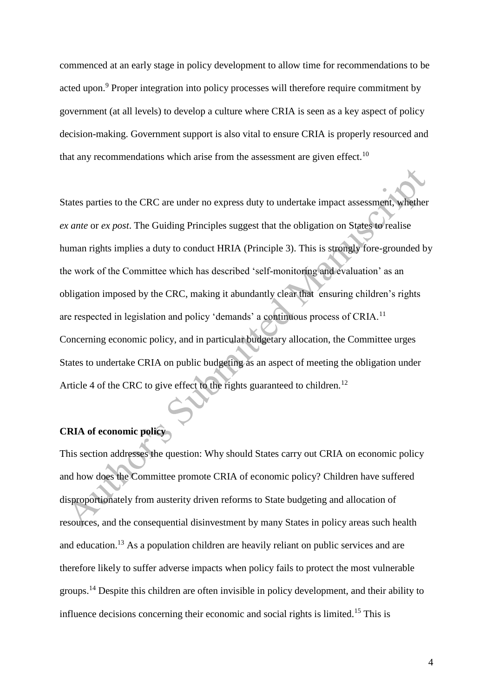commenced at an early stage in policy development to allow time for recommendations to be acted upon.<sup>9</sup> Proper integration into policy processes will therefore require commitment by government (at all levels) to develop a culture where CRIA is seen as a key aspect of policy decision-making. Government support is also vital to ensure CRIA is properly resourced and that any recommendations which arise from the assessment are given effect.<sup>10</sup>

States parties to the CRC are under no express duty to undertake impact assessment, whether *ex ante* or *ex post*. The Guiding Principles suggest that the obligation on States to realise human rights implies a duty to conduct HRIA (Principle 3). This is strongly fore-grounded by the work of the Committee which has described 'self-monitoring and evaluation' as an obligation imposed by the CRC, making it abundantly clear that ensuring children's rights are respected in legislation and policy 'demands' a continuous process of CRIA.<sup>11</sup> Concerning economic policy, and in particular budgetary allocation, the Committee urges States to undertake CRIA on public budgeting as an aspect of meeting the obligation under Article 4 of the CRC to give effect to the rights guaranteed to children.<sup>12</sup>

# **CRIA of economic policy**

This section addresses the question: Why should States carry out CRIA on economic policy and how does the Committee promote CRIA of economic policy? Children have suffered disproportionately from austerity driven reforms to State budgeting and allocation of resources, and the consequential disinvestment by many States in policy areas such health and education.<sup>13</sup> As a population children are heavily reliant on public services and are therefore likely to suffer adverse impacts when policy fails to protect the most vulnerable groups.<sup>14</sup> Despite this children are often invisible in policy development, and their ability to influence decisions concerning their economic and social rights is limited.<sup>15</sup> This is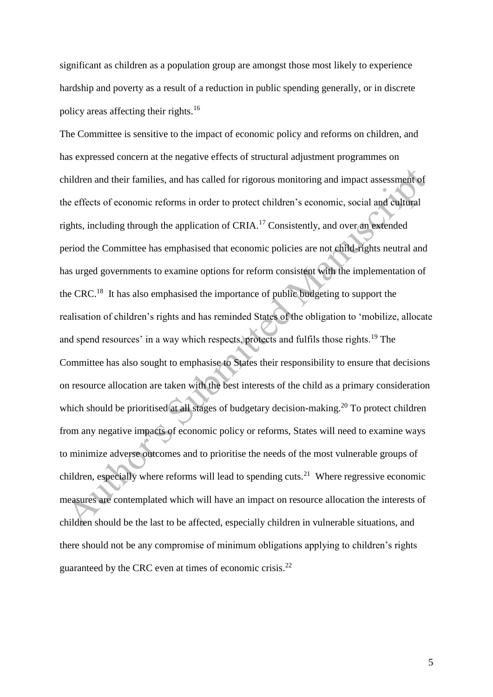significant as children as a population group are amongst those most likely to experience hardship and poverty as a result of a reduction in public spending generally, or in discrete policy areas affecting their rights.<sup>16</sup>

The Committee is sensitive to the impact of economic policy and reforms on children, and has expressed concern at the negative effects of structural adjustment programmes on children and their families, and has called for rigorous monitoring and impact assessment of the effects of economic reforms in order to protect children's economic, social and cultural rights, including through the application of CRIA.<sup>17</sup> Consistently, and over an extended period the Committee has emphasised that economic policies are not child-rights neutral and has urged governments to examine options for reform consistent with the implementation of the CRC.<sup>18</sup> It has also emphasised the importance of public budgeting to support the realisation of children's rights and has reminded States of the obligation to 'mobilize, allocate and spend resources' in a way which respects, protects and fulfils those rights.<sup>19</sup> The Committee has also sought to emphasise to States their responsibility to ensure that decisions on resource allocation are taken with the best interests of the child as a primary consideration which should be prioritised at all stages of budgetary decision-making.<sup>20</sup> To protect children from any negative impacts of economic policy or reforms, States will need to examine ways to minimize adverse outcomes and to prioritise the needs of the most vulnerable groups of children, especially where reforms will lead to spending cuts.<sup>21</sup> Where regressive economic measures are contemplated which will have an impact on resource allocation the interests of children should be the last to be affected, especially children in vulnerable situations, and there should not be any compromise of minimum obligations applying to children's rights guaranteed by the CRC even at times of economic crisis.<sup>22</sup>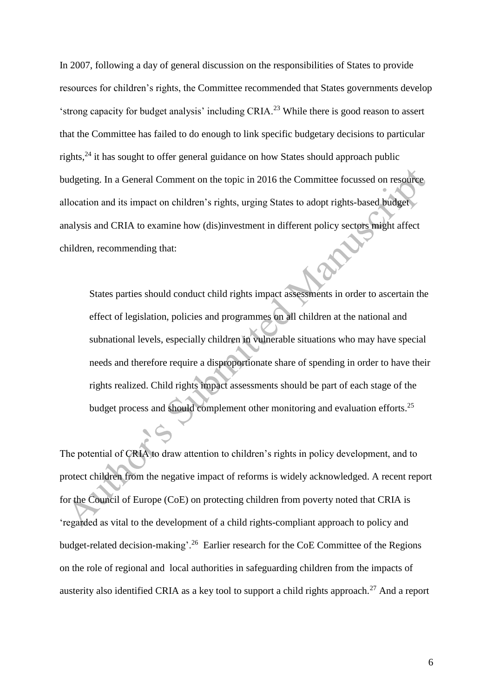In 2007, following a day of general discussion on the responsibilities of States to provide resources for children's rights, the Committee recommended that States governments develop 'strong capacity for budget analysis' including CRIA.<sup>23</sup> While there is good reason to assert that the Committee has failed to do enough to link specific budgetary decisions to particular rights, $24$  it has sought to offer general guidance on how States should approach public budgeting. In a General Comment on the topic in 2016 the Committee focussed on resource allocation and its impact on children's rights, urging States to adopt rights-based budget analysis and CRIA to examine how (dis)investment in different policy sectors might affect children, recommending that:

States parties should conduct child rights impact assessments in order to ascertain the effect of legislation, policies and programmes on all children at the national and subnational levels, especially children in vulnerable situations who may have special needs and therefore require a disproportionate share of spending in order to have their rights realized. Child rights impact assessments should be part of each stage of the budget process and should complement other monitoring and evaluation efforts.<sup>25</sup>

The potential of CRIA to draw attention to children's rights in policy development, and to protect children from the negative impact of reforms is widely acknowledged. A recent report for the Council of Europe (CoE) on protecting children from poverty noted that CRIA is 'regarded as vital to the development of a child rights-compliant approach to policy and budget-related decision-making'.<sup>26</sup> Earlier research for the CoE Committee of the Regions on the role of regional and local authorities in safeguarding children from the impacts of austerity also identified CRIA as a key tool to support a child rights approach.<sup>27</sup> And a report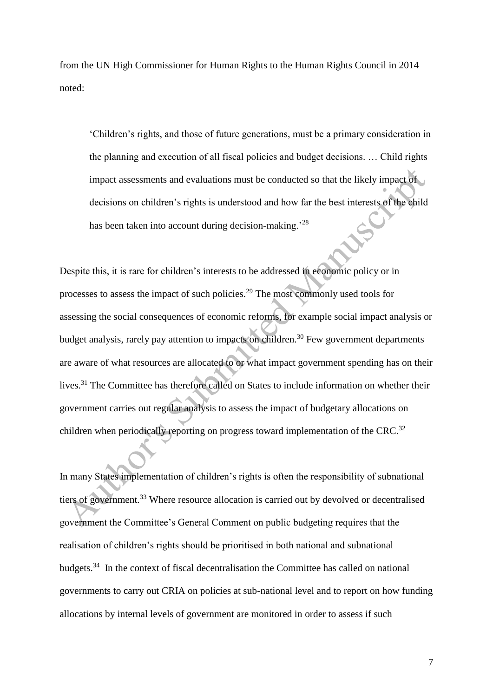from the UN High Commissioner for Human Rights to the Human Rights Council in 2014 noted:

'Children's rights, and those of future generations, must be a primary consideration in the planning and execution of all fiscal policies and budget decisions. … Child rights impact assessments and evaluations must be conducted so that the likely impact of decisions on children's rights is understood and how far the best interests of the child has been taken into account during decision-making.<sup>28</sup>

Despite this, it is rare for children's interests to be addressed in economic policy or in processes to assess the impact of such policies.<sup>29</sup> The most commonly used tools for assessing the social consequences of economic reforms, for example social impact analysis or budget analysis, rarely pay attention to impacts on children.<sup>30</sup> Few government departments are aware of what resources are allocated to or what impact government spending has on their lives.<sup>31</sup> The Committee has therefore called on States to include information on whether their government carries out regular analysis to assess the impact of budgetary allocations on children when periodically reporting on progress toward implementation of the CRC.<sup>32</sup>

In many States implementation of children's rights is often the responsibility of subnational tiers of government.<sup>33</sup> Where resource allocation is carried out by devolved or decentralised government the Committee's General Comment on public budgeting requires that the realisation of children's rights should be prioritised in both national and subnational budgets.<sup>34</sup> In the context of fiscal decentralisation the Committee has called on national governments to carry out CRIA on policies at sub-national level and to report on how funding allocations by internal levels of government are monitored in order to assess if such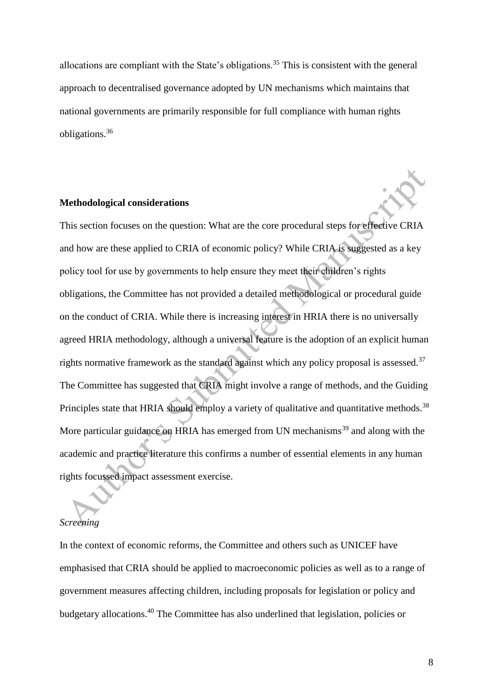allocations are compliant with the State's obligations.<sup>35</sup> This is consistent with the general approach to decentralised governance adopted by UN mechanisms which maintains that national governments are primarily responsible for full compliance with human rights obligations.<sup>36</sup>

### **Methodological considerations**

This section focuses on the question: What are the core procedural steps for effective CRIA and how are these applied to CRIA of economic policy? While CRIA is suggested as a key policy tool for use by governments to help ensure they meet their children's rights obligations, the Committee has not provided a detailed methodological or procedural guide on the conduct of CRIA. While there is increasing interest in HRIA there is no universally agreed HRIA methodology, although a universal feature is the adoption of an explicit human rights normative framework as the standard against which any policy proposal is assessed. $37$ The Committee has suggested that CRIA might involve a range of methods, and the Guiding Principles state that HRIA should employ a variety of qualitative and quantitative methods.<sup>38</sup> More particular guidance on HRIA has emerged from UN mechanisms<sup>39</sup> and along with the academic and practice literature this confirms a number of essential elements in any human rights focussed impact assessment exercise.

#### *Screening*

In the context of economic reforms, the Committee and others such as UNICEF have emphasised that CRIA should be applied to macroeconomic policies as well as to a range of government measures affecting children, including proposals for legislation or policy and budgetary allocations.<sup>40</sup> The Committee has also underlined that legislation, policies or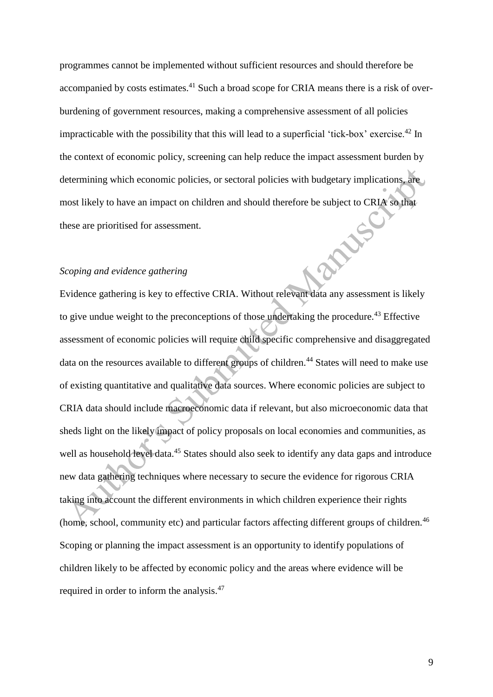programmes cannot be implemented without sufficient resources and should therefore be accompanied by costs estimates.<sup>41</sup> Such a broad scope for CRIA means there is a risk of overburdening of government resources, making a comprehensive assessment of all policies impracticable with the possibility that this will lead to a superficial 'tick-box' exercise.<sup>42</sup> In the context of economic policy, screening can help reduce the impact assessment burden by determining which economic policies, or sectoral policies with budgetary implications, are most likely to have an impact on children and should therefore be subject to CRIA so that these are prioritised for assessment.<br>Scoping and evidence gatherine these are prioritised for assessment.

## *Scoping and evidence gathering*

Evidence gathering is key to effective CRIA. Without relevant data any assessment is likely to give undue weight to the preconceptions of those undertaking the procedure.<sup>43</sup> Effective assessment of economic policies will require child specific comprehensive and disaggregated data on the resources available to different groups of children.<sup>44</sup> States will need to make use of existing quantitative and qualitative data sources. Where economic policies are subject to CRIA data should include macroeconomic data if relevant, but also microeconomic data that sheds light on the likely impact of policy proposals on local economies and communities, as well as household level data.<sup>45</sup> States should also seek to identify any data gaps and introduce new data gathering techniques where necessary to secure the evidence for rigorous CRIA taking into account the different environments in which children experience their rights (home, school, community etc) and particular factors affecting different groups of children.<sup>46</sup> Scoping or planning the impact assessment is an opportunity to identify populations of children likely to be affected by economic policy and the areas where evidence will be required in order to inform the analysis.<sup>47</sup>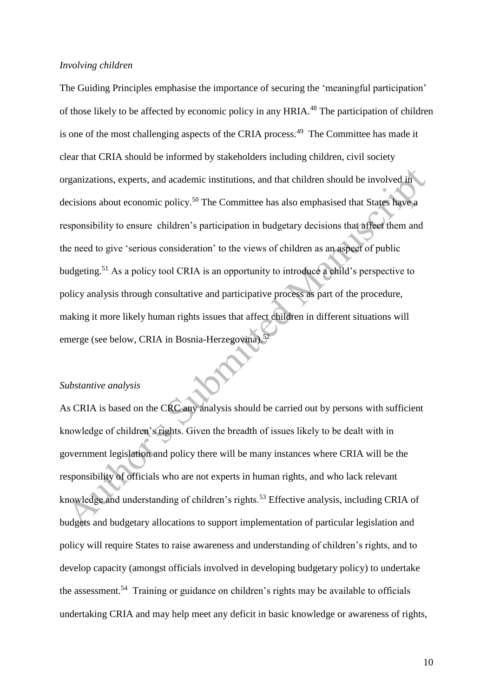### *Involving children*

The Guiding Principles emphasise the importance of securing the 'meaningful participation' of those likely to be affected by economic policy in any HRIA.<sup>48</sup> The participation of children is one of the most challenging aspects of the CRIA process.<sup>49</sup> The Committee has made it clear that CRIA should be informed by stakeholders including children, civil society organizations, experts, and academic institutions, and that children should be involved in decisions about economic policy.<sup>50</sup> The Committee has also emphasised that States have a responsibility to ensure children's participation in budgetary decisions that affect them and the need to give 'serious consideration' to the views of children as an aspect of public budgeting.<sup>51</sup> As a policy tool CRIA is an opportunity to introduce a child's perspective to policy analysis through consultative and participative process as part of the procedure, making it more likely human rights issues that affect children in different situations will emerge (see below, CRIA in Bosnia-Herzegovina).<sup>52</sup>

## *Substantive analysis*

As CRIA is based on the CRC any analysis should be carried out by persons with sufficient knowledge of children's rights. Given the breadth of issues likely to be dealt with in government legislation and policy there will be many instances where CRIA will be the responsibility of officials who are not experts in human rights, and who lack relevant knowledge and understanding of children's rights.<sup>53</sup> Effective analysis, including CRIA of budgets and budgetary allocations to support implementation of particular legislation and policy will require States to raise awareness and understanding of children's rights, and to develop capacity (amongst officials involved in developing budgetary policy) to undertake the assessment.<sup>54</sup> Training or guidance on children's rights may be available to officials undertaking CRIA and may help meet any deficit in basic knowledge or awareness of rights,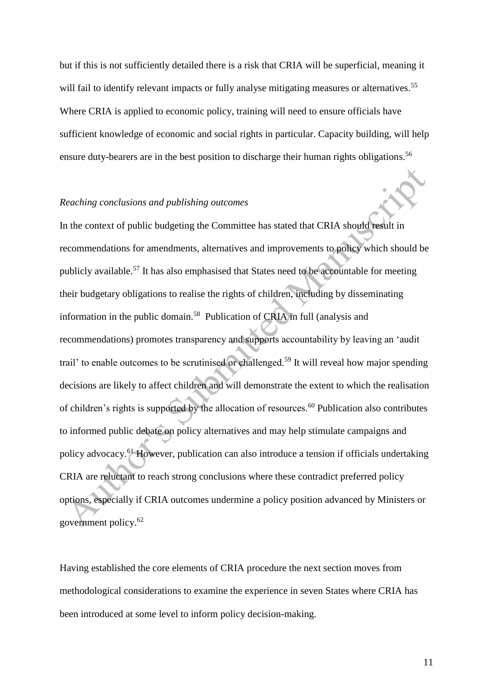but if this is not sufficiently detailed there is a risk that CRIA will be superficial, meaning it will fail to identify relevant impacts or fully analyse mitigating measures or alternatives.<sup>55</sup> Where CRIA is applied to economic policy, training will need to ensure officials have sufficient knowledge of economic and social rights in particular. Capacity building, will help ensure duty-bearers are in the best position to discharge their human rights obligations.<sup>56</sup>

#### *Reaching conclusions and publishing outcomes*

In the context of public budgeting the Committee has stated that CRIA should result in recommendations for amendments, alternatives and improvements to policy which should be publicly available.<sup>57</sup> It has also emphasised that States need to be accountable for meeting their budgetary obligations to realise the rights of children, including by disseminating information in the public domain.<sup>58</sup> Publication of CRIA in full (analysis and recommendations) promotes transparency and supports accountability by leaving an 'audit trail' to enable outcomes to be scrutinised or challenged.<sup>59</sup> It will reveal how major spending decisions are likely to affect children and will demonstrate the extent to which the realisation of children's rights is supported by the allocation of resources.<sup>60</sup> Publication also contributes to informed public debate on policy alternatives and may help stimulate campaigns and policy advocacy.<sup>61</sup> However, publication can also introduce a tension if officials undertaking CRIA are reluctant to reach strong conclusions where these contradict preferred policy options, especially if CRIA outcomes undermine a policy position advanced by Ministers or government policy.<sup>62</sup>

Having established the core elements of CRIA procedure the next section moves from methodological considerations to examine the experience in seven States where CRIA has been introduced at some level to inform policy decision-making.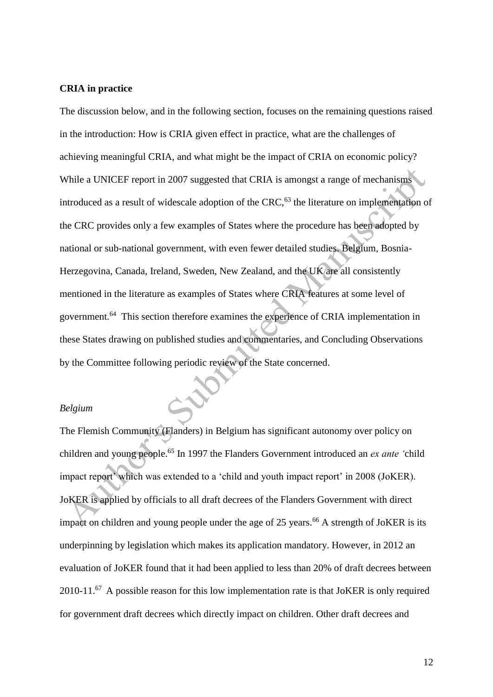#### **CRIA in practice**

The discussion below, and in the following section, focuses on the remaining questions raised in the introduction: How is CRIA given effect in practice, what are the challenges of achieving meaningful CRIA, and what might be the impact of CRIA on economic policy? While a UNICEF report in 2007 suggested that CRIA is amongst a range of mechanisms introduced as a result of widescale adoption of the CRC, $63$  the literature on implementation of the CRC provides only a few examples of States where the procedure has been adopted by national or sub-national government, with even fewer detailed studies. Belgium, Bosnia-Herzegovina, Canada, Ireland, Sweden, New Zealand, and the UK are all consistently mentioned in the literature as examples of States where CRIA features at some level of government.<sup>64</sup> This section therefore examines the experience of CRIA implementation in these States drawing on published studies and commentaries, and Concluding Observations by the Committee following periodic review of the State concerned.

## *Belgium*

The Flemish Community (Flanders) in Belgium has significant autonomy over policy on children and young people.<sup>65</sup> In 1997 the Flanders Government introduced an *ex ante '*child impact report' which was extended to a 'child and youth impact report' in 2008 (JoKER). JoKER is applied by officials to all draft decrees of the Flanders Government with direct impact on children and young people under the age of 25 years.<sup>66</sup> A strength of JoKER is its underpinning by legislation which makes its application mandatory. However, in 2012 an evaluation of JoKER found that it had been applied to less than 20% of draft decrees between 2010-11. $^{67}$  A possible reason for this low implementation rate is that JoKER is only required for government draft decrees which directly impact on children. Other draft decrees and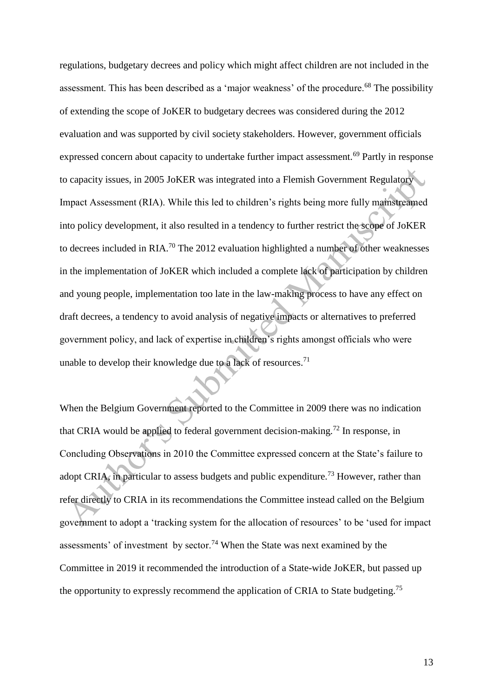regulations, budgetary decrees and policy which might affect children are not included in the assessment. This has been described as a 'major weakness' of the procedure.<sup>68</sup> The possibility of extending the scope of JoKER to budgetary decrees was considered during the 2012 evaluation and was supported by civil society stakeholders. However, government officials expressed concern about capacity to undertake further impact assessment.<sup>69</sup> Partly in response to capacity issues, in 2005 JoKER was integrated into a Flemish Government Regulatory Impact Assessment (RIA). While this led to children's rights being more fully mainstreamed into policy development, it also resulted in a tendency to further restrict the scope of JoKER to decrees included in RIA.<sup>70</sup> The 2012 evaluation highlighted a number of other weaknesses in the implementation of JoKER which included a complete lack of participation by children and young people, implementation too late in the law-making process to have any effect on draft decrees, a tendency to avoid analysis of negative impacts or alternatives to preferred government policy, and lack of expertise in children's rights amongst officials who were unable to develop their knowledge due to a lack of resources.<sup>71</sup>

When the Belgium Government reported to the Committee in 2009 there was no indication that CRIA would be applied to federal government decision-making.<sup>72</sup> In response, in Concluding Observations in 2010 the Committee expressed concern at the State's failure to adopt CRIA, in particular to assess budgets and public expenditure.<sup>73</sup> However, rather than refer directly to CRIA in its recommendations the Committee instead called on the Belgium government to adopt a 'tracking system for the allocation of resources' to be 'used for impact assessments' of investment by sector.<sup>74</sup> When the State was next examined by the Committee in 2019 it recommended the introduction of a State-wide JoKER, but passed up the opportunity to expressly recommend the application of CRIA to State budgeting.<sup>75</sup>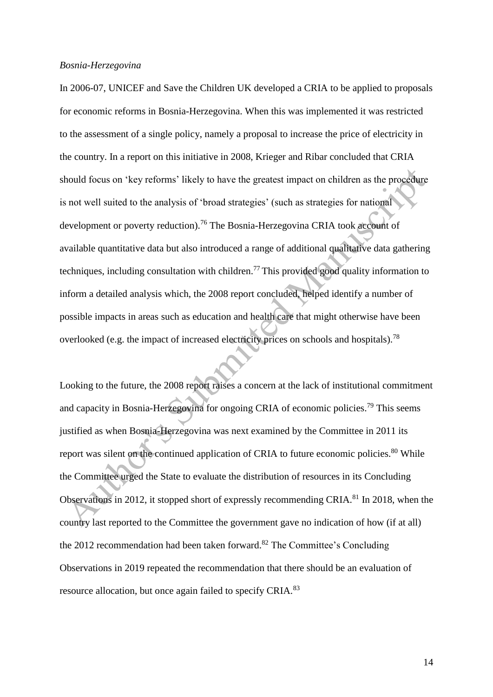#### *Bosnia-Herzegovina*

In 2006-07, UNICEF and Save the Children UK developed a CRIA to be applied to proposals for economic reforms in Bosnia-Herzegovina. When this was implemented it was restricted to the assessment of a single policy, namely a proposal to increase the price of electricity in the country. In a report on this initiative in 2008, Krieger and Ribar concluded that CRIA should focus on 'key reforms' likely to have the greatest impact on children as the procedure is not well suited to the analysis of 'broad strategies' (such as strategies for national development or poverty reduction).<sup>76</sup> The Bosnia-Herzegovina CRIA took account of available quantitative data but also introduced a range of additional qualitative data gathering techniques, including consultation with children.<sup>77</sup> This provided good quality information to inform a detailed analysis which, the 2008 report concluded, helped identify a number of possible impacts in areas such as education and health care that might otherwise have been overlooked (e.g. the impact of increased electricity prices on schools and hospitals).<sup>78</sup>

Looking to the future, the 2008 report raises a concern at the lack of institutional commitment and capacity in Bosnia-Herzegovina for ongoing CRIA of economic policies.<sup>79</sup> This seems justified as when Bosnia-Herzegovina was next examined by the Committee in 2011 its report was silent on the continued application of CRIA to future economic policies.<sup>80</sup> While the Committee urged the State to evaluate the distribution of resources in its Concluding Observations in 2012, it stopped short of expressly recommending CRIA.<sup>81</sup> In 2018, when the country last reported to the Committee the government gave no indication of how (if at all) the 2012 recommendation had been taken forward.<sup>82</sup> The Committee's Concluding Observations in 2019 repeated the recommendation that there should be an evaluation of resource allocation, but once again failed to specify CRIA.<sup>83</sup>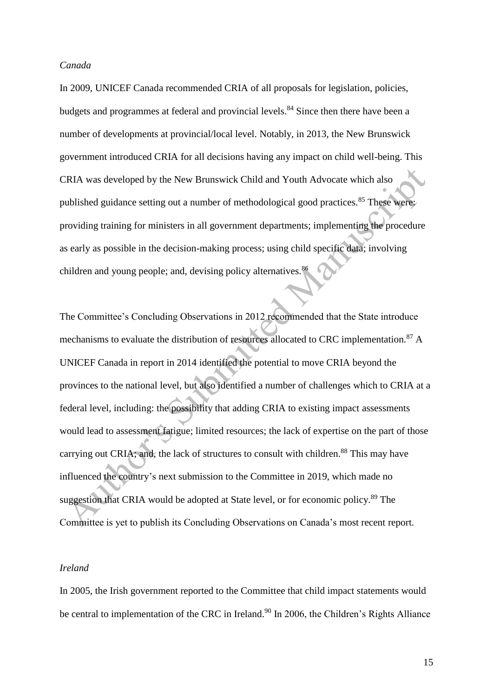### *Canada*

In 2009, UNICEF Canada recommended CRIA of all proposals for legislation, policies, budgets and programmes at federal and provincial levels.<sup>84</sup> Since then there have been a number of developments at provincial/local level. Notably, in 2013, the New Brunswick government introduced CRIA for all decisions having any impact on child well-being. This CRIA was developed by the New Brunswick Child and Youth Advocate which also published guidance setting out a number of methodological good practices.<sup>85</sup> These were: providing training for ministers in all government departments; implementing the procedure as early as possible in the decision-making process; using child specific data; involving children and young people; and, devising policy alternatives.<sup>86</sup>

The Committee's Concluding Observations in 2012 recommended that the State introduce mechanisms to evaluate the distribution of resources allocated to CRC implementation.<sup>87</sup> A UNICEF Canada in report in 2014 identified the potential to move CRIA beyond the provinces to the national level, but also identified a number of challenges which to CRIA at a federal level, including: the possibility that adding CRIA to existing impact assessments would lead to assessment fatigue; limited resources; the lack of expertise on the part of those carrying out CRIA; and, the lack of structures to consult with children.<sup>88</sup> This may have influenced the country's next submission to the Committee in 2019, which made no suggestion that CRIA would be adopted at State level, or for economic policy.<sup>89</sup> The Committee is yet to publish its Concluding Observations on Canada's most recent report.

## *Ireland*

In 2005, the Irish government reported to the Committee that child impact statements would be central to implementation of the CRC in Ireland.<sup>90</sup> In 2006, the Children's Rights Alliance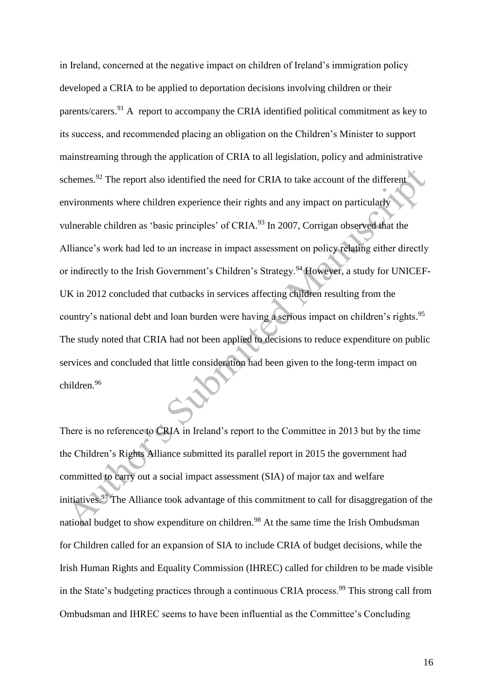in Ireland, concerned at the negative impact on children of Ireland's immigration policy developed a CRIA to be applied to deportation decisions involving children or their parents/carers.<sup>91</sup> A report to accompany the CRIA identified political commitment as key to its success, and recommended placing an obligation on the Children's Minister to support mainstreaming through the application of CRIA to all legislation, policy and administrative schemes.<sup>92</sup> The report also identified the need for CRIA to take account of the different environments where children experience their rights and any impact on particularly vulnerable children as 'basic principles' of CRIA.<sup>93</sup> In 2007, Corrigan observed that the Alliance's work had led to an increase in impact assessment on policy relating either directly or indirectly to the Irish Government's Children's Strategy.<sup>94</sup> However, a study for UNICEF-UK in 2012 concluded that cutbacks in services affecting children resulting from the country's national debt and loan burden were having a serious impact on children's rights. 95 The study noted that CRIA had not been applied to decisions to reduce expenditure on public services and concluded that little consideration had been given to the long-term impact on children.<sup>96</sup>

There is no reference to CRIA in Ireland's report to the Committee in 2013 but by the time the Children's Rights Alliance submitted its parallel report in 2015 the government had committed to carry out a social impact assessment (SIA) of major tax and welfare initiatives.<sup>97</sup> The Alliance took advantage of this commitment to call for disaggregation of the national budget to show expenditure on children.<sup>98</sup> At the same time the Irish Ombudsman for Children called for an expansion of SIA to include CRIA of budget decisions, while the Irish Human Rights and Equality Commission (IHREC) called for children to be made visible in the State's budgeting practices through a continuous CRIA process.<sup>99</sup> This strong call from Ombudsman and IHREC seems to have been influential as the Committee's Concluding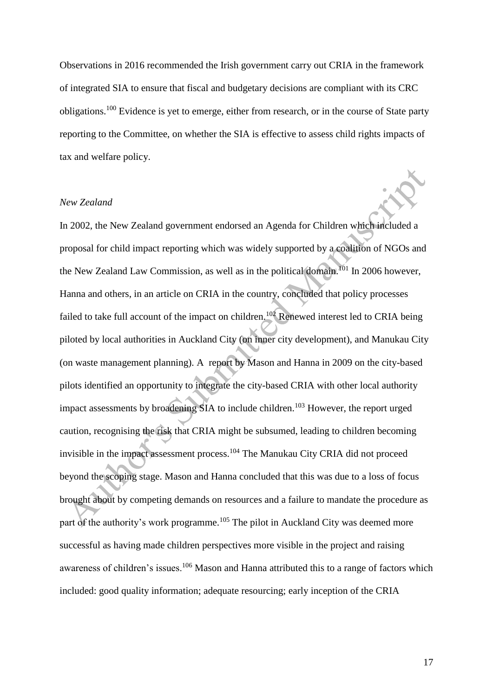Observations in 2016 recommended the Irish government carry out CRIA in the framework of integrated SIA to ensure that fiscal and budgetary decisions are compliant with its CRC obligations.<sup>100</sup> Evidence is yet to emerge, either from research, or in the course of State party reporting to the Committee, on whether the SIA is effective to assess child rights impacts of tax and welfare policy.

### *New Zealand*

In 2002, the New Zealand government endorsed an Agenda for Children which included a proposal for child impact reporting which was widely supported by a coalition of NGOs and the New Zealand Law Commission, as well as in the political domain.<sup>101</sup> In 2006 however, Hanna and others, in an article on CRIA in the country, concluded that policy processes failed to take full account of the impact on children.<sup>102</sup> Renewed interest led to CRIA being piloted by local authorities in Auckland City (on inner city development), and Manukau City (on waste management planning). A report by Mason and Hanna in 2009 on the city-based pilots identified an opportunity to integrate the city-based CRIA with other local authority impact assessments by broadening SIA to include children.<sup>103</sup> However, the report urged caution, recognising the risk that CRIA might be subsumed, leading to children becoming invisible in the impact assessment process.<sup>104</sup> The Manukau City CRIA did not proceed beyond the scoping stage. Mason and Hanna concluded that this was due to a loss of focus brought about by competing demands on resources and a failure to mandate the procedure as part of the authority's work programme.<sup>105</sup> The pilot in Auckland City was deemed more successful as having made children perspectives more visible in the project and raising awareness of children's issues.<sup>106</sup> Mason and Hanna attributed this to a range of factors which included: good quality information; adequate resourcing; early inception of the CRIA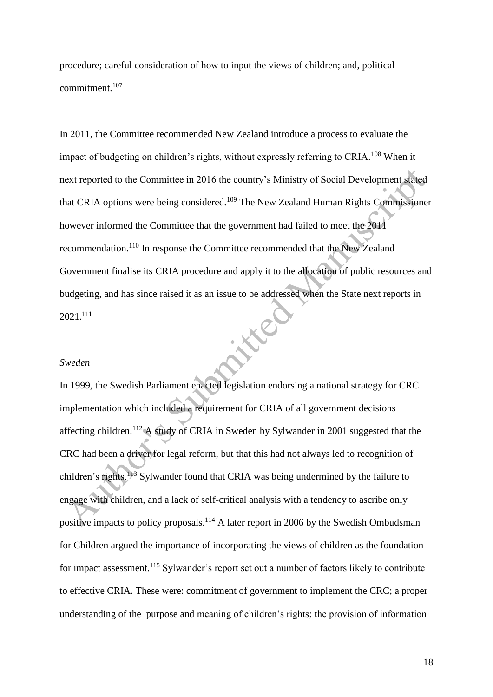procedure; careful consideration of how to input the views of children; and, political commitment.<sup>107</sup>

In 2011, the Committee recommended New Zealand introduce a process to evaluate the impact of budgeting on children's rights, without expressly referring to CRIA.<sup>108</sup> When it next reported to the Committee in 2016 the country's Ministry of Social Development stated that CRIA options were being considered.<sup>109</sup> The New Zealand Human Rights Commissioner however informed the Committee that the government had failed to meet the 2011 recommendation.<sup>110</sup> In response the Committee recommended that the New Zealand Government finalise its CRIA procedure and apply it to the allocation of public resources and budgeting, and has since raised it as an issue to be addressed when the State next reports in **NYCHE** 2021. 111

#### *Sweden*

In 1999, the Swedish Parliament enacted legislation endorsing a national strategy for CRC implementation which included a requirement for CRIA of all government decisions affecting children.<sup>112</sup> A study of CRIA in Sweden by Sylwander in 2001 suggested that the CRC had been a driver for legal reform, but that this had not always led to recognition of children's rights.<sup>113</sup> Sylwander found that CRIA was being undermined by the failure to engage with children, and a lack of self-critical analysis with a tendency to ascribe only positive impacts to policy proposals.<sup>114</sup> A later report in 2006 by the Swedish Ombudsman for Children argued the importance of incorporating the views of children as the foundation for impact assessment.<sup>115</sup> Sylwander's report set out a number of factors likely to contribute to effective CRIA. These were: commitment of government to implement the CRC; a proper understanding of the purpose and meaning of children's rights; the provision of information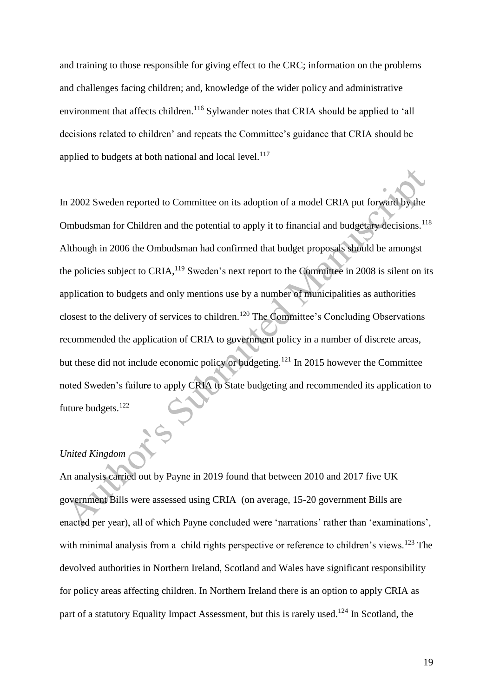and training to those responsible for giving effect to the CRC; information on the problems and challenges facing children; and, knowledge of the wider policy and administrative environment that affects children.<sup>116</sup> Sylwander notes that CRIA should be applied to 'all decisions related to children' and repeats the Committee's guidance that CRIA should be applied to budgets at both national and local level. $117$ 

In 2002 Sweden reported to Committee on its adoption of a model CRIA put forward by the Ombudsman for Children and the potential to apply it to financial and budgetary decisions.<sup>118</sup> Although in 2006 the Ombudsman had confirmed that budget proposals should be amongst the policies subject to CRIA,<sup>119</sup> Sweden's next report to the Committee in 2008 is silent on its application to budgets and only mentions use by a number of municipalities as authorities closest to the delivery of services to children.<sup>120</sup> The Committee's Concluding Observations recommended the application of CRIA to government policy in a number of discrete areas, but these did not include economic policy or budgeting.<sup>121</sup> In 2015 however the Committee noted Sweden's failure to apply CRIA to State budgeting and recommended its application to future budgets.<sup>122</sup>

# *United Kingdom*

An analysis carried out by Payne in 2019 found that between 2010 and 2017 five UK government Bills were assessed using CRIA (on average, 15-20 government Bills are enacted per year), all of which Payne concluded were 'narrations' rather than 'examinations', with minimal analysis from a child rights perspective or reference to children's views.<sup>123</sup> The devolved authorities in Northern Ireland, Scotland and Wales have significant responsibility for policy areas affecting children. In Northern Ireland there is an option to apply CRIA as part of a statutory Equality Impact Assessment, but this is rarely used.<sup>124</sup> In Scotland, the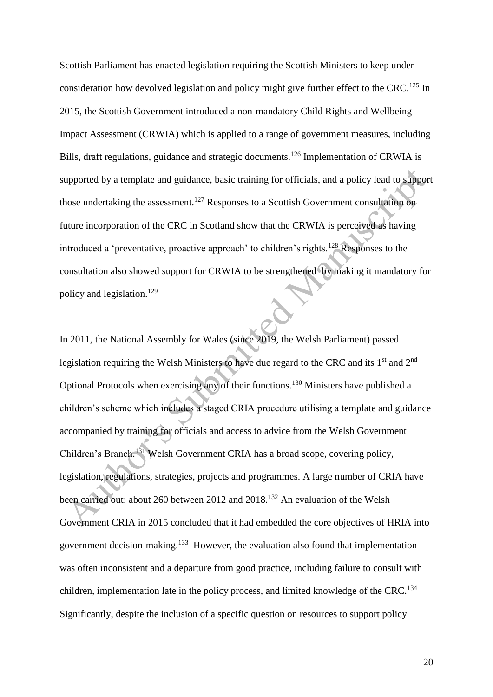Scottish Parliament has enacted legislation requiring the Scottish Ministers to keep under consideration how devolved legislation and policy might give further effect to the CRC.<sup>125</sup> In 2015, the Scottish Government introduced a non-mandatory Child Rights and Wellbeing Impact Assessment (CRWIA) which is applied to a range of government measures, including Bills, draft regulations, guidance and strategic documents.<sup>126</sup> Implementation of CRWIA is supported by a template and guidance, basic training for officials, and a policy lead to support those undertaking the assessment.<sup>127</sup> Responses to a Scottish Government consultation on future incorporation of the CRC in Scotland show that the CRWIA is perceived as having introduced a 'preventative, proactive approach' to children's rights.<sup>128</sup> Responses to the consultation also showed support for CRWIA to be strengthened by making it mandatory for policy and legislation.<sup>129</sup>

In 2011, the National Assembly for Wales (since 2019, the Welsh Parliament) passed legislation requiring the Welsh Ministers to have due regard to the CRC and its 1<sup>st</sup> and 2<sup>nd</sup> Optional Protocols when exercising any of their functions.<sup>130</sup> Ministers have published a children's scheme which includes a staged CRIA procedure utilising a template and guidance accompanied by training for officials and access to advice from the Welsh Government Children's Branch.<sup>131</sup> Welsh Government CRIA has a broad scope, covering policy, legislation, regulations, strategies, projects and programmes. A large number of CRIA have been carried out: about 260 between 2012 and 2018.<sup>132</sup> An evaluation of the Welsh Government CRIA in 2015 concluded that it had embedded the core objectives of HRIA into government decision-making.<sup>133</sup> However, the evaluation also found that implementation was often inconsistent and a departure from good practice, including failure to consult with children, implementation late in the policy process, and limited knowledge of the CRC.<sup>134</sup> Significantly, despite the inclusion of a specific question on resources to support policy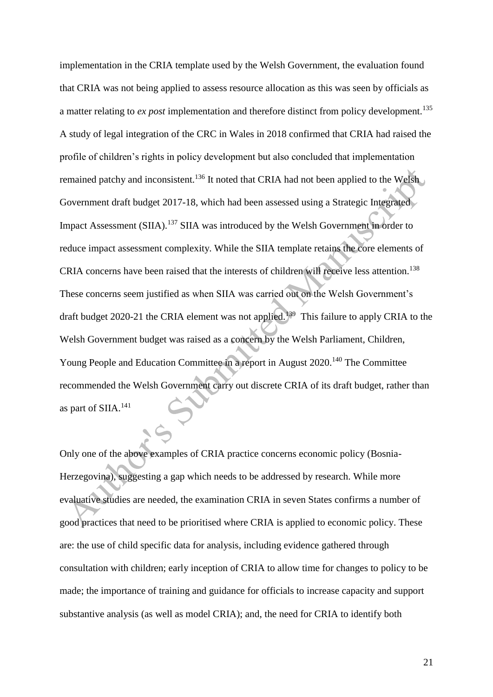implementation in the CRIA template used by the Welsh Government, the evaluation found that CRIA was not being applied to assess resource allocation as this was seen by officials as a matter relating to *ex post* implementation and therefore distinct from policy development.<sup>135</sup> A study of legal integration of the CRC in Wales in 2018 confirmed that CRIA had raised the profile of children's rights in policy development but also concluded that implementation remained patchy and inconsistent.<sup>136</sup> It noted that CRIA had not been applied to the Welsh Government draft budget 2017-18, which had been assessed using a Strategic Integrated Impact Assessment (SIIA).<sup>137</sup> SIIA was introduced by the Welsh Government in order to reduce impact assessment complexity. While the SIIA template retains the core elements of CRIA concerns have been raised that the interests of children will receive less attention.<sup>138</sup> These concerns seem justified as when SIIA was carried out on the Welsh Government's draft budget 2020-21 the CRIA element was not applied.<sup>139</sup> This failure to apply CRIA to the Welsh Government budget was raised as a concern by the Welsh Parliament, Children, Young People and Education Committee in a report in August 2020.<sup>140</sup> The Committee recommended the Welsh Government carry out discrete CRIA of its draft budget, rather than as part of SIIA.<sup>141</sup>

Only one of the above examples of CRIA practice concerns economic policy (Bosnia-Herzegovina), suggesting a gap which needs to be addressed by research. While more evaluative studies are needed, the examination CRIA in seven States confirms a number of good practices that need to be prioritised where CRIA is applied to economic policy. These are: the use of child specific data for analysis, including evidence gathered through consultation with children; early inception of CRIA to allow time for changes to policy to be made; the importance of training and guidance for officials to increase capacity and support substantive analysis (as well as model CRIA); and, the need for CRIA to identify both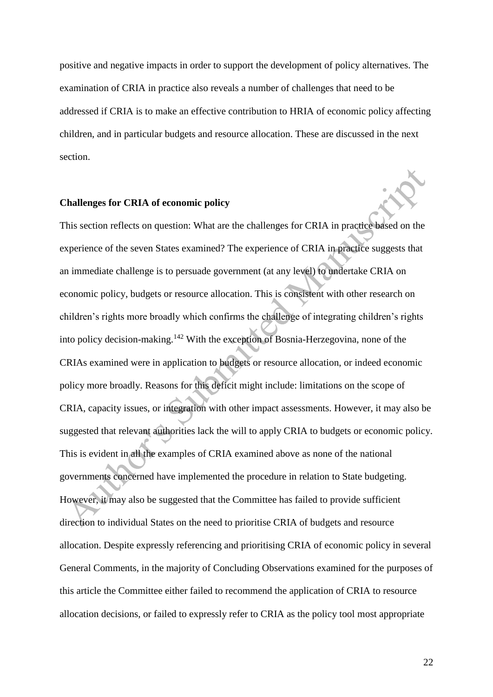positive and negative impacts in order to support the development of policy alternatives. The examination of CRIA in practice also reveals a number of challenges that need to be addressed if CRIA is to make an effective contribution to HRIA of economic policy affecting children, and in particular budgets and resource allocation. These are discussed in the next section.

#### **Challenges for CRIA of economic policy**

This section reflects on question: What are the challenges for CRIA in practice based on the experience of the seven States examined? The experience of CRIA in practice suggests that an immediate challenge is to persuade government (at any level) to undertake CRIA on economic policy, budgets or resource allocation. This is consistent with other research on children's rights more broadly which confirms the challenge of integrating children's rights into policy decision-making.<sup>142</sup> With the exception of Bosnia-Herzegovina, none of the CRIAs examined were in application to budgets or resource allocation, or indeed economic policy more broadly. Reasons for this deficit might include: limitations on the scope of CRIA, capacity issues, or integration with other impact assessments. However, it may also be suggested that relevant authorities lack the will to apply CRIA to budgets or economic policy. This is evident in all the examples of CRIA examined above as none of the national governments concerned have implemented the procedure in relation to State budgeting. However, it may also be suggested that the Committee has failed to provide sufficient direction to individual States on the need to prioritise CRIA of budgets and resource allocation. Despite expressly referencing and prioritising CRIA of economic policy in several General Comments, in the majority of Concluding Observations examined for the purposes of this article the Committee either failed to recommend the application of CRIA to resource allocation decisions, or failed to expressly refer to CRIA as the policy tool most appropriate

22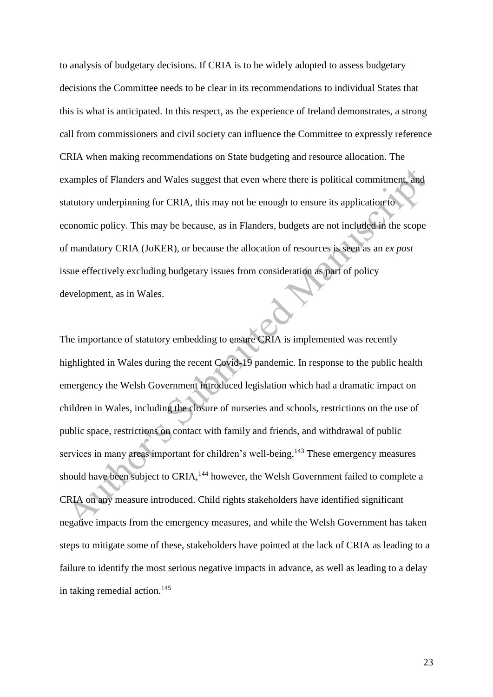to analysis of budgetary decisions. If CRIA is to be widely adopted to assess budgetary decisions the Committee needs to be clear in its recommendations to individual States that this is what is anticipated. In this respect, as the experience of Ireland demonstrates, a strong call from commissioners and civil society can influence the Committee to expressly reference CRIA when making recommendations on State budgeting and resource allocation. The examples of Flanders and Wales suggest that even where there is political commitment, and statutory underpinning for CRIA, this may not be enough to ensure its application to economic policy. This may be because, as in Flanders, budgets are not included in the scope of mandatory CRIA (JoKER), or because the allocation of resources is seen as an *ex post*  issue effectively excluding budgetary issues from consideration as part of policy development, as in Wales.

The importance of statutory embedding to ensure CRIA is implemented was recently highlighted in Wales during the recent Covid-19 pandemic. In response to the public health emergency the Welsh Government introduced legislation which had a dramatic impact on children in Wales, including the closure of nurseries and schools, restrictions on the use of public space, restrictions on contact with family and friends, and withdrawal of public services in many areas important for children's well-being.<sup>143</sup> These emergency measures should have been subject to CRIA,<sup>144</sup> however, the Welsh Government failed to complete a CRIA on any measure introduced. Child rights stakeholders have identified significant negative impacts from the emergency measures, and while the Welsh Government has taken steps to mitigate some of these, stakeholders have pointed at the lack of CRIA as leading to a failure to identify the most serious negative impacts in advance, as well as leading to a delay in taking remedial action. $145$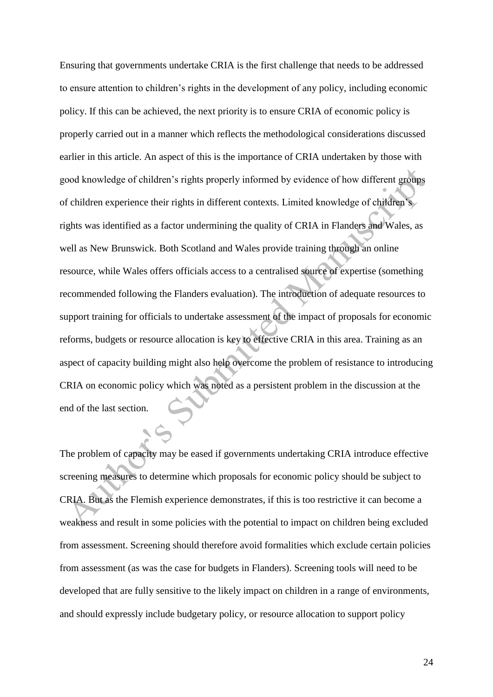Ensuring that governments undertake CRIA is the first challenge that needs to be addressed to ensure attention to children's rights in the development of any policy, including economic policy. If this can be achieved, the next priority is to ensure CRIA of economic policy is properly carried out in a manner which reflects the methodological considerations discussed earlier in this article. An aspect of this is the importance of CRIA undertaken by those with good knowledge of children's rights properly informed by evidence of how different groups of children experience their rights in different contexts. Limited knowledge of children's rights was identified as a factor undermining the quality of CRIA in Flanders and Wales, as well as New Brunswick. Both Scotland and Wales provide training through an online resource, while Wales offers officials access to a centralised source of expertise (something recommended following the Flanders evaluation). The introduction of adequate resources to support training for officials to undertake assessment of the impact of proposals for economic reforms, budgets or resource allocation is key to effective CRIA in this area. Training as an aspect of capacity building might also help overcome the problem of resistance to introducing CRIA on economic policy which was noted as a persistent problem in the discussion at the end of the last section.

The problem of capacity may be eased if governments undertaking CRIA introduce effective screening measures to determine which proposals for economic policy should be subject to CRIA. But as the Flemish experience demonstrates, if this is too restrictive it can become a weakness and result in some policies with the potential to impact on children being excluded from assessment. Screening should therefore avoid formalities which exclude certain policies from assessment (as was the case for budgets in Flanders). Screening tools will need to be developed that are fully sensitive to the likely impact on children in a range of environments, and should expressly include budgetary policy, or resource allocation to support policy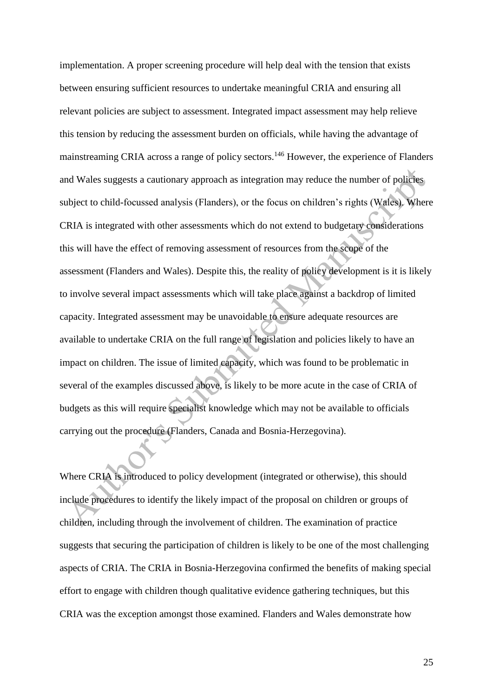implementation. A proper screening procedure will help deal with the tension that exists between ensuring sufficient resources to undertake meaningful CRIA and ensuring all relevant policies are subject to assessment. Integrated impact assessment may help relieve this tension by reducing the assessment burden on officials, while having the advantage of mainstreaming CRIA across a range of policy sectors.<sup>146</sup> However, the experience of Flanders and Wales suggests a cautionary approach as integration may reduce the number of policies subject to child-focussed analysis (Flanders), or the focus on children's rights (Wales). Where CRIA is integrated with other assessments which do not extend to budgetary considerations this will have the effect of removing assessment of resources from the scope of the assessment (Flanders and Wales). Despite this, the reality of policy development is it is likely to involve several impact assessments which will take place against a backdrop of limited capacity. Integrated assessment may be unavoidable to ensure adequate resources are available to undertake CRIA on the full range of legislation and policies likely to have an impact on children. The issue of limited capacity, which was found to be problematic in several of the examples discussed above, is likely to be more acute in the case of CRIA of budgets as this will require specialist knowledge which may not be available to officials carrying out the procedure (Flanders, Canada and Bosnia-Herzegovina).

Where CRIA is introduced to policy development (integrated or otherwise), this should include procedures to identify the likely impact of the proposal on children or groups of children, including through the involvement of children. The examination of practice suggests that securing the participation of children is likely to be one of the most challenging aspects of CRIA. The CRIA in Bosnia-Herzegovina confirmed the benefits of making special effort to engage with children though qualitative evidence gathering techniques, but this CRIA was the exception amongst those examined. Flanders and Wales demonstrate how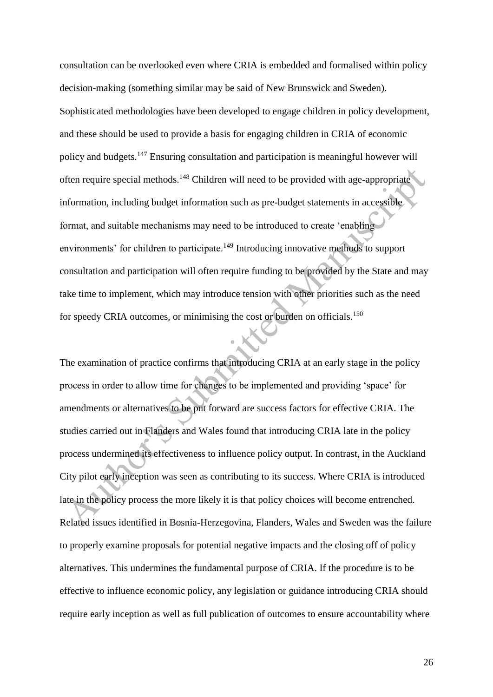consultation can be overlooked even where CRIA is embedded and formalised within policy decision-making (something similar may be said of New Brunswick and Sweden). Sophisticated methodologies have been developed to engage children in policy development, and these should be used to provide a basis for engaging children in CRIA of economic policy and budgets.<sup>147</sup> Ensuring consultation and participation is meaningful however will often require special methods.<sup>148</sup> Children will need to be provided with age-appropriate information, including budget information such as pre-budget statements in accessible format, and suitable mechanisms may need to be introduced to create 'enabling environments' for children to participate.<sup>149</sup> Introducing innovative methods to support consultation and participation will often require funding to be provided by the State and may take time to implement, which may introduce tension with other priorities such as the need for speedy CRIA outcomes, or minimising the cost or burden on officials.<sup>150</sup>

The examination of practice confirms that introducing CRIA at an early stage in the policy process in order to allow time for changes to be implemented and providing 'space' for amendments or alternatives to be put forward are success factors for effective CRIA. The studies carried out in Flanders and Wales found that introducing CRIA late in the policy process undermined its effectiveness to influence policy output. In contrast, in the Auckland City pilot early inception was seen as contributing to its success. Where CRIA is introduced late in the policy process the more likely it is that policy choices will become entrenched. Related issues identified in Bosnia-Herzegovina, Flanders, Wales and Sweden was the failure to properly examine proposals for potential negative impacts and the closing off of policy alternatives. This undermines the fundamental purpose of CRIA. If the procedure is to be effective to influence economic policy, any legislation or guidance introducing CRIA should require early inception as well as full publication of outcomes to ensure accountability where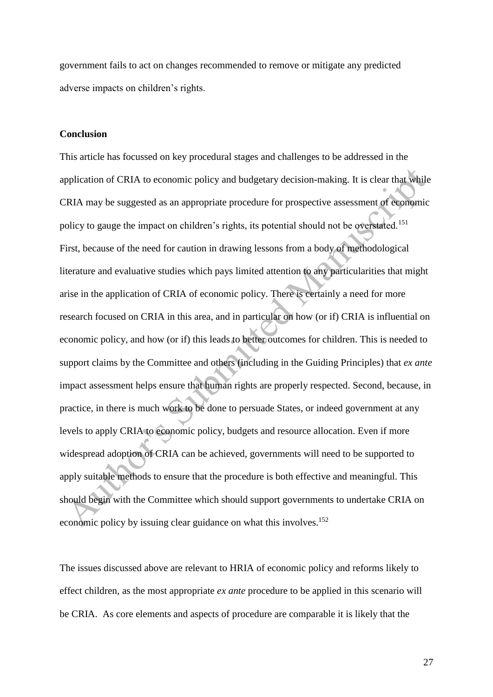government fails to act on changes recommended to remove or mitigate any predicted adverse impacts on children's rights.

## **Conclusion**

This article has focussed on key procedural stages and challenges to be addressed in the application of CRIA to economic policy and budgetary decision-making. It is clear that while CRIA may be suggested as an appropriate procedure for prospective assessment of economic policy to gauge the impact on children's rights, its potential should not be overstated.<sup>151</sup> First, because of the need for caution in drawing lessons from a body of methodological literature and evaluative studies which pays limited attention to any particularities that might arise in the application of CRIA of economic policy. There is certainly a need for more research focused on CRIA in this area, and in particular on how (or if) CRIA is influential on economic policy, and how (or if) this leads to better outcomes for children. This is needed to support claims by the Committee and others (including in the Guiding Principles) that *ex ante*  impact assessment helps ensure that human rights are properly respected. Second, because, in practice, in there is much work to be done to persuade States, or indeed government at any levels to apply CRIA to economic policy, budgets and resource allocation. Even if more widespread adoption of CRIA can be achieved, governments will need to be supported to apply suitable methods to ensure that the procedure is both effective and meaningful. This should begin with the Committee which should support governments to undertake CRIA on economic policy by issuing clear guidance on what this involves.<sup>152</sup>

The issues discussed above are relevant to HRIA of economic policy and reforms likely to effect children, as the most appropriate *ex ante* procedure to be applied in this scenario will be CRIA. As core elements and aspects of procedure are comparable it is likely that the

27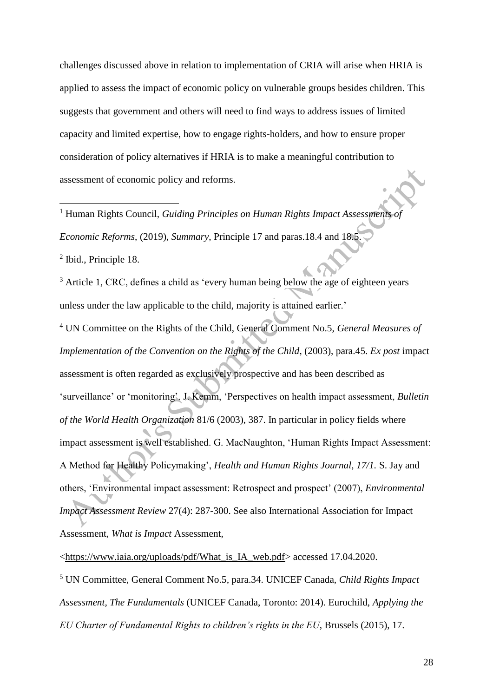challenges discussed above in relation to implementation of CRIA will arise when HRIA is applied to assess the impact of economic policy on vulnerable groups besides children. This suggests that government and others will need to find ways to address issues of limited capacity and limited expertise, how to engage rights-holders, and how to ensure proper consideration of policy alternatives if HRIA is to make a meaningful contribution to assessment of economic policy and reforms.

<sup>1</sup> Human Rights Council, *Guiding Principles on Human Rights Impact Assessments of Economic Reforms*, (2019), *Summary*, Principle 17 and paras.18.4 and 18.5.

2 Ibid., Principle 18.

1

<sup>3</sup> Article 1, CRC, defines a child as 'every human being below the age of eighteen years unless under the law applicable to the child, majority is attained earlier.'

<sup>4</sup> UN Committee on the Rights of the Child, General Comment No.5, *General Measures of Implementation of the Convention on the Rights of the Child*, (2003), para.45. *Ex post* impact assessment is often regarded as exclusively prospective and has been described as 'surveillance' or 'monitoring'. J. Kemm, 'Perspectives on health impact assessment, *Bulletin of the World Health Organization* 81/6 (2003), 387. In particular in policy fields where impact assessment is well established. G. MacNaughton, 'Human Rights Impact Assessment: A Method for Healthy Policymaking', *Health and Human Rights Journal, 17/1.* S. Jay and others, 'Environmental impact assessment: Retrospect and prospect' (2007), *Environmental Impact Assessment Review* 27(4): 287-300. See also International Association for Impact Assessment, *What is Impact* Assessment,

[<https://www.iaia.org/uploads/pdf/What\\_is\\_IA\\_web.pdf>](https://www.iaia.org/uploads/pdf/What_is_IA_web.pdf) accessed 17.04.2020.

<sup>5</sup> UN Committee, General Comment No.5*,* para.34. UNICEF Canada, *Child Rights Impact Assessment, The Fundamentals* (UNICEF Canada, Toronto: 2014). Eurochild, *Applying the EU Charter of Fundamental Rights to children's rights in the EU*, Brussels (2015), 17.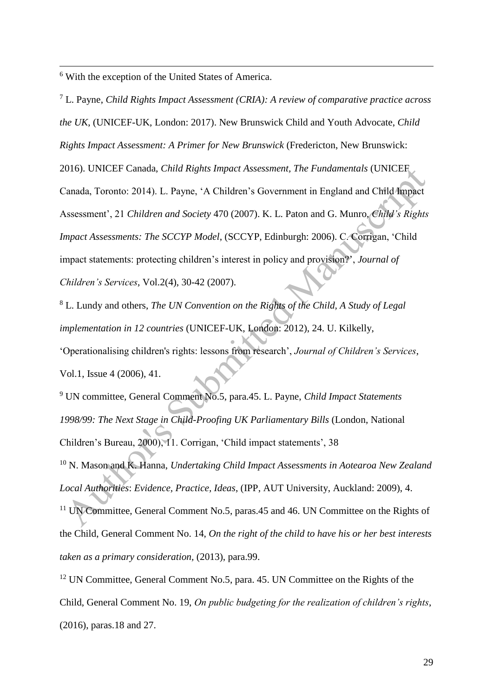<sup>6</sup> With the exception of the United States of America.

1

<sup>7</sup> L. Payne, *Child Rights Impact Assessment (CRIA): A review of comparative practice across the UK*, (UNICEF-UK, London: 2017). New Brunswick Child and Youth Advocate, *Child Rights Impact Assessment: A Primer for New Brunswick* (Fredericton, New Brunswick: 2016). UNICEF Canada, *Child Rights Impact Assessment, The Fundamentals* (UNICEF Canada, Toronto: 2014). L. Payne, 'A Children's Government in England and Child Impact Assessment', 21 *Children and Society* 470 (2007). K. L. Paton and G. Munro, *Child's Rights Impact Assessments: The SCCYP Model*, (SCCYP, Edinburgh: 2006). C. Corrigan, 'Child impact statements: protecting children's interest in policy and provision?', *Journal of Children's Services*, Vol.2(4), 30-42 (2007).

<sup>8</sup> L. Lundy and others, *The UN Convention on the Rights of the Child, A Study of Legal implementation in 12 countries* (UNICEF-UK, London: 2012), 24. U. Kilkelly, 'Operationalising children's rights: lessons from research', *Journal of Children's Services*, Vol.1, Issue 4 (2006), 41.

<sup>9</sup> UN committee, General Comment No.5, para.45. L. Payne, *Child Impact Statements 1998/99: The Next Stage in Child-Proofing UK Parliamentary Bills* (London, National Children's Bureau, 2000), 11. Corrigan, 'Child impact statements', 38

<sup>10</sup> N. Mason and K. Hanna, *Undertaking Child Impact Assessments in Aotearoa New Zealand Local Authorities*: *Evidence, Practice, Ideas*, (IPP, AUT University, Auckland: 2009), 4.

<sup>11</sup> UN Committee, General Comment No.5, paras.45 and 46. UN Committee on the Rights of the Child, General Comment No. 14, *On the right of the child to have his or her best interests taken as a primary consideration,* (2013), para.99.

<sup>12</sup> UN Committee, General Comment No.5, para. 45. UN Committee on the Rights of the Child, General Comment No. 19, *On public budgeting for the realization of children's rights*, (2016), paras.18 and 27.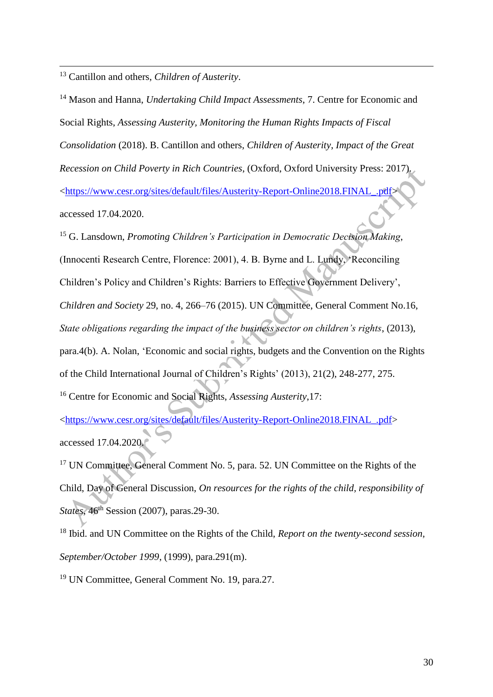<sup>13</sup> Cantillon and others, *Children of Austerity*.

1

<sup>14</sup> Mason and Hanna, *Undertaking Child Impact Assessments*, 7. Centre for Economic and Social Rights, *Assessing Austerity, Monitoring the Human Rights Impacts of Fiscal Consolidation* (2018). B. Cantillon and others, *Children of Austerity*, *Impact of the Great Recession on Child Poverty in Rich Countries*, (Oxford, Oxford University Press: 2017). [<https://www.cesr.org/sites/default/files/Austerity-Report-Online2018.FINAL\\_.pdf>](https://www.cesr.org/sites/default/files/Austerity-Report-Online2018.FINAL_.pdf) accessed 17.04.2020.

<sup>15</sup> G. Lansdown, *Promoting Children's Participation in Democratic Decision Making*, (Innocenti Research Centre, Florence: 2001), 4. B. Byrne and L. Lundy, 'Reconciling Children's Policy and Children's Rights: Barriers to Effective Government Delivery', *Children and Society* 29, no. 4, 266–76 (2015). UN Committee, General Comment No.16, *State obligations regarding the impact of the business sector on children's rights*, (2013), para.4(b). A. Nolan, 'Economic and social rights, budgets and the Convention on the Rights of the Child International Journal of Children's Rights' (2013), 21(2), 248-277, 275. <sup>16</sup> Centre for Economic and Social Rights, *Assessing Austerity*,17:

[<https://www.cesr.org/sites/default/files/Austerity-Report-Online2018.FINAL\\_.pdf>](https://www.cesr.org/sites/default/files/Austerity-Report-Online2018.FINAL_.pdf) accessed 17.04.2020.

<sup>17</sup> UN Committee, General Comment No. 5, para. 52. UN Committee on the Rights of the Child, Day of General Discussion, *On resources for the rights of the child, responsibility of States*,  $46<sup>th</sup>$  Session (2007), paras. 29-30.

<sup>18</sup> Ibid. and UN Committee on the Rights of the Child, *Report on the twenty-second session, September/October 1999*, (1999), para.291(m).

<sup>19</sup> UN Committee, General Comment No. 19, para.27.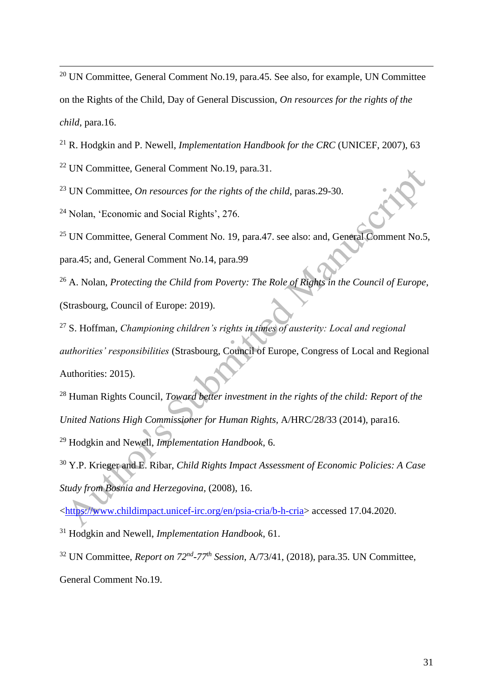<sup>20</sup> UN Committee, General Comment No.19, para.45. See also, for example, UN Committee on the Rights of the Child, Day of General Discussion, *On resources for the rights of the child*, para.16.

<sup>21</sup> R. Hodgkin and P. Newell, *Implementation Handbook for the CRC* (UNICEF, 2007), 63

<sup>22</sup> UN Committee, General Comment No.19, para.31.

<sup>23</sup> UN Committee, *On resources for the rights of the child*, paras.29-30.

<sup>24</sup> Nolan, 'Economic and Social Rights', 276.

1

<sup>25</sup> UN Committee, General Comment No. 19, para.47. see also: and, General Comment No.5,

para.45; and, General Comment No.14, para.99

<sup>26</sup> A. Nolan, *Protecting the Child from Poverty: The Role of Rights in the Council of Europe*, (Strasbourg, Council of Europe: 2019).

<sup>27</sup> S. Hoffman, *Championing children's rights in times of austerity: Local and regional authorities' responsibilities* (Strasbourg, Council of Europe, Congress of Local and Regional Authorities: 2015).

<sup>28</sup> Human Rights Council, *Toward better investment in the rights of the child: Report of the United Nations High Commissioner for Human Rights,* A/HRC/28/33 (2014), para16. <sup>29</sup> Hodgkin and Newell, *Implementation Handbook*, 6.

<sup>30</sup> Y.P. Krieger and E. Ribar, *Child Rights Impact Assessment of Economic Policies: A Case Study from Bosnia and Herzegovina,* (2008), 16.

[<https://www.childimpact.unicef-irc.org/en/psia-cria/b-h-cria>](https://www.childimpact.unicef-irc.org/en/psia-cria/b-h-cria) accessed 17.04.2020.

<sup>31</sup> Hodgkin and Newell, *Implementation Handbook*, 61.

<sup>32</sup> UN Committee, *Report on 72nd -77th Session*, A/73/41, (2018), para.35. UN Committee, General Comment No.19.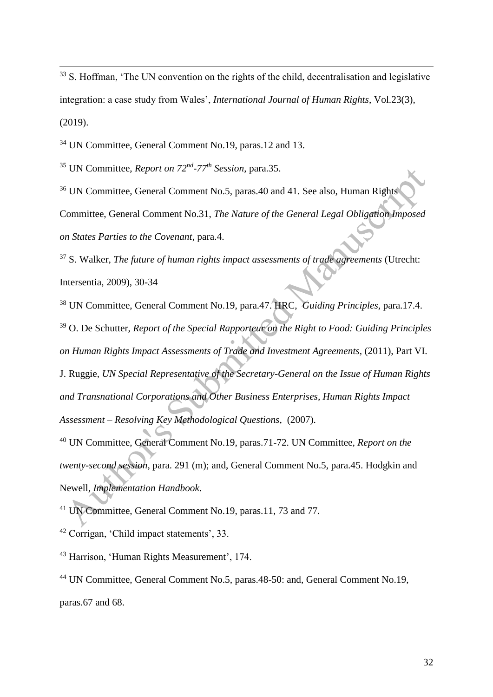<sup>33</sup> S. Hoffman, 'The UN convention on the rights of the child, decentralisation and legislative integration: a case study from Wales', *International Journal of Human Rights*, Vol.23(3), (2019).

<sup>34</sup> UN Committee, General Comment No.19, paras.12 and 13.

<sup>35</sup> UN Committee, *Report on 72nd -77th Session*, para.35.

1

<sup>36</sup> UN Committee, General Comment No.5, paras.40 and 41. See also, Human Rights Committee, General Comment No.31, *The Nature of the General Legal Obligation Imposed on States Parties to the Covenant*, para.4.

<sup>37</sup> S. Walker, *The future of human rights impact assessments of trade agreements* (Utrecht: Intersentia, 2009), 30-34

<sup>38</sup> UN Committee, General Comment No.19, para.47. HRC, *Guiding Principles*, para.17.4. <sup>39</sup> O. De Schutter, *Report of the Special Rapporteur on the Right to Food: Guiding Principles on Human Rights Impact Assessments of Trade and Investment Agreements,* (2011), Part VI. J. Ruggie, *UN Special Representative of the Secretary-General on the Issue of Human Rights and Transnational Corporations and Other Business Enterprises, Human Rights Impact Assessment – Resolving Key Methodological Questions*, (2007). <sup>40</sup> UN Committee, General Comment No.19, paras.71-72. UN Committee, *Report on the* 

*twenty-second session*, para. 291 (m); and, General Comment No.5, para.45. Hodgkin and Newell, *Implementation Handbook*.

<sup>41</sup> UN Committee, General Comment No.19, paras.11, 73 and 77.

<sup>42</sup> Corrigan, 'Child impact statements', 33.

<sup>43</sup> Harrison, 'Human Rights Measurement', 174.

<sup>44</sup> UN Committee, General Comment No.5, paras.48-50: and, General Comment No.19, paras.67 and 68.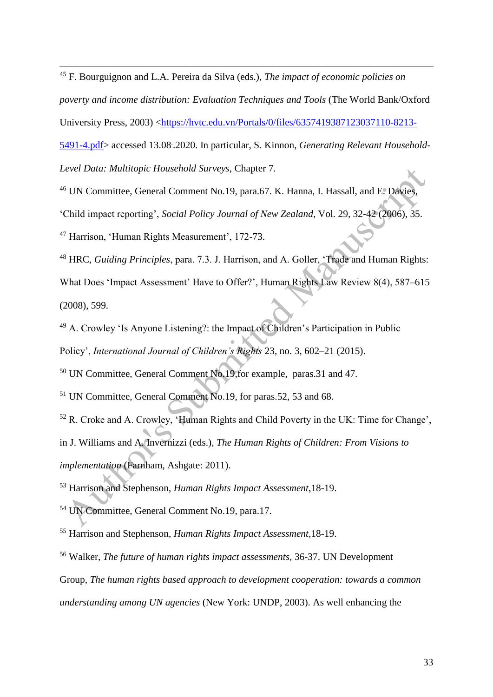<sup>45</sup> F. Bourguignon and L.A. Pereira da Silva (eds.), *The impact of economic policies on* 

*poverty and income distribution: Evaluation Techniques and Tools* (The World Bank/Oxford

University Press, 2003) [<https://hvtc.edu.vn/Portals/0/files/6357419387123037110-8213-](https://hvtc.edu.vn/Portals/0/files/6357419387123037110-8213-5491-4.pdf)

[5491-4.pdf>](https://hvtc.edu.vn/Portals/0/files/6357419387123037110-8213-5491-4.pdf) accessed 13.08. .2020. In particular, S. Kinnon, *Generating Relevant Household-*

*Level Data: Multitopic Household Surveys*, Chapter 7.

1

<sup>46</sup> UN Committee, General Comment No.19, para.67. K. Hanna, I. Hassall, and E. Davies,

'Child impact reporting', *Social Policy Journal of New Zealand*, Vol. 29, 32-42 (2006), 35.

<sup>47</sup> Harrison, 'Human Rights Measurement', 172-73.

<sup>48</sup> HRC, *Guiding Principles*, para. 7.3. J. Harrison, and A. Goller, 'Trade and Human Rights: What Does 'Impact Assessment' Have to Offer?', Human Rights Law Review 8(4), 587–615 (2008), 599.

<sup>49</sup> A. Crowley 'Is Anyone Listening?: the Impact of Children's Participation in Public Policy', *International Journal of Children's Rights* 23, no. 3, 602–21 (2015).

<sup>50</sup> UN Committee, General Comment No.19,for example, paras.31 and 47.

<sup>51</sup> UN Committee, General Comment No.19, for paras.52, 53 and 68.

<sup>52</sup> R. Croke and A. Crowley, 'Human Rights and Child Poverty in the UK: Time for Change', in J. Williams and A. Invernizzi (eds.)*, The Human Rights of Children: From Visions to implementation* (Farnham, Ashgate: 2011).

<sup>53</sup> Harrison and Stephenson, *Human Rights Impact Assessment*,18-19.

<sup>54</sup> UN Committee, General Comment No.19, para.17.

<sup>55</sup> Harrison and Stephenson, *Human Rights Impact Assessment*,18-19.

<sup>56</sup> Walker, *The future of human rights impact assessments,* 36-37. UN Development

Group, *The human rights based approach to development cooperation: towards a common* 

*understanding among UN agencies* (New York: UNDP, 2003). As well enhancing the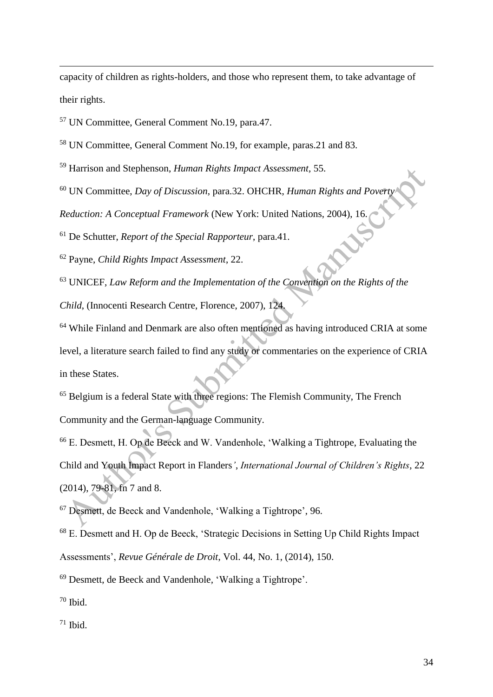capacity of children as rights-holders, and those who represent them, to take advantage of their rights.

<sup>57</sup> UN Committee, General Comment No.19, para.47.

1

<sup>58</sup> UN Committee, General Comment No.19, for example, paras.21 and 83.

<sup>59</sup> Harrison and Stephenson, *Human Rights Impact Assessment,* 55.

<sup>60</sup> UN Committee, *Day of Discussion*, para.32. OHCHR, *Human Rights and Pove* 

*Reduction: A Conceptual Framework* (New York: United Nations, 2004), 16.

<sup>61</sup> De Schutter, *Report of the Special Rapporteur*, para.41.

<sup>62</sup> Payne, *Child Rights Impact Assessment*, 22.

<sup>63</sup> UNICEF, *Law Reform and the Implementation of the Convention on the Rights of the* 

*Child*, (Innocenti Research Centre, Florence, 2007), 124.

<sup>64</sup> While Finland and Denmark are also often mentioned as having introduced CRIA at some level, a literature search failed to find any study or commentaries on the experience of CRIA in these States.

<sup>65</sup> Belgium is a federal State with three regions: The Flemish Community, The French Community and the German-language Community.

<sup>66</sup> E. Desmett, H. Op de Beeck and W. Vandenhole, 'Walking a Tightrope, Evaluating the Child and Youth Impact Report in Flanders*'*, *International Journal of Children's Rights*, 22 (2014), 79-81, fn 7 and 8.

<sup>67</sup> Desmett, de Beeck and Vandenhole, 'Walking a Tightrope', 96.

<sup>68</sup> E. Desmett and H. Op de Beeck, 'Strategic Decisions in Setting Up Child Rights Impact Assessments', *Revue Générale de Droit*, Vol. 44, No. 1, (2014), 150.

<sup>69</sup> Desmett, de Beeck and Vandenhole*,* 'Walking a Tightrope'.

 $70$  Ibid.

 $71$  Ibid.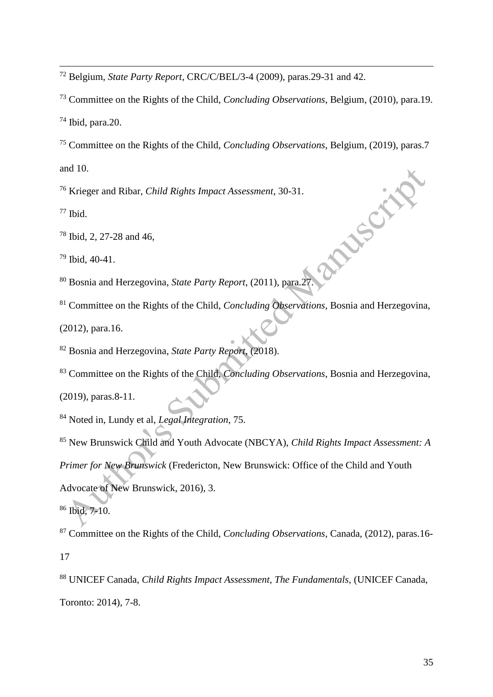Belgium, *State Party Report*, CRC/C/BEL/3-4 (2009), paras.29-31 and 42.

Committee on the Rights of the Child, *Concluding Observations*, Belgium, (2010), para.19.

Ibid, para. 20.

 Committee on the Rights of the Child, *Concluding Observations*, Belgium, (2019), paras.7 and 10.

Krieger and Ribar, *Child Rights Impact Assessment*, 30-31.

Ibid.

Ibid, 2, 27-28 and 46,

Ibid, 40-41.

2.0 and 46,<br>
<sup>79</sup> Ibid, 40-41.<br>
<sup>80</sup> Bosnia and Herzegovina, *State Party Report*, (2011), para.27.

Committee on the Rights of the Child, *Concluding Observations*, Bosnia and Herzegovina,

(2012), para.16.

Bosnia and Herzegovina, *State Party Report*, (2018).

Committee on the Rights of the Child, *Concluding Observations*, Bosnia and Herzegovina,

(2019), paras.8-11.

Noted in, Lundy et al, *Legal Integration*, 75.

 New Brunswick Child and Youth Advocate (NBCYA), *Child Rights Impact Assessment: A Primer for New Brunswick* (Fredericton, New Brunswick: Office of the Child and Youth Advocate of New Brunswick, 2016), 3.

Ibid, 7-10.

 Committee on the Rights of the Child, *Concluding Observations*, Canada, (2012), paras.16- 

 UNICEF Canada, *Child Rights Impact Assessment, The Fundamentals,* (UNICEF Canada, Toronto: 2014), 7-8.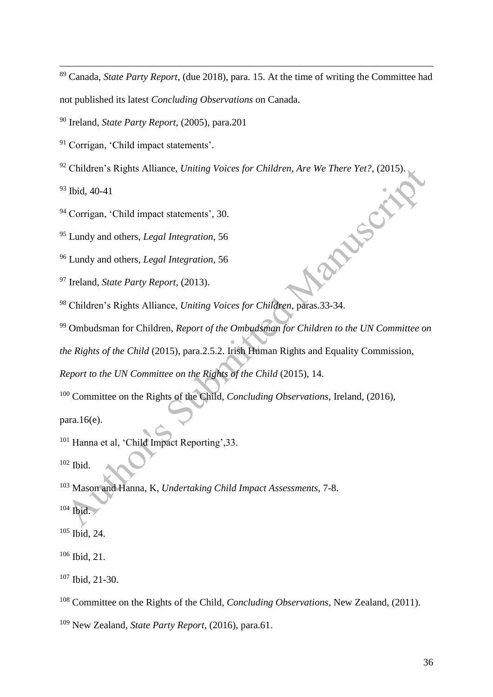Canada, *State Party Report*, (due 2018), para. 15. At the time of writing the Committee had not published its latest *Concluding Observations* on Canada.

Ireland, *State Party Report*, (2005), para.201

<sup>91</sup> Corrigan, 'Child impact statements'.

Children's Rights Alliance, *Uniting Voices for Children, Are We There Yet?*, (2015).

Ibid, 40-41

Corrigan, 'Child impact statements', 30.

Lundy and others, *Legal Integration*, 56

Lundy and others, *Legal Integration*, 56

Ireland, *State Party Report,* (2013).

Children's Rights Alliance, *Uniting Voices for Children*, paras.33-34.

Ombudsman for Children, *Report of the Ombudsman for Children to the UN Committee on* 

**PRISCHE** 

*the Rights of the Child* (2015), para.2.5.2. Irish Human Rights and Equality Commission,

*Report to the UN Committee on the Rights of the Child* (2015), 14.

Committee on the Rights of the Child, *Concluding Observations*, Ireland, (2016),

para. $16(e)$ .

Hanna et al, 'Child Impact Reporting',33.

Ibid.

Mason and Hanna, K, *Undertaking Child Impact Assessments*, 7-8.

Ibid.

Ibid, 24.

Ibid, 21.

Ibid, 21-30.

Committee on the Rights of the Child, *Concluding Observations*, New Zealand, (2011).

New Zealand, *State Party Report*, (2016), para.61.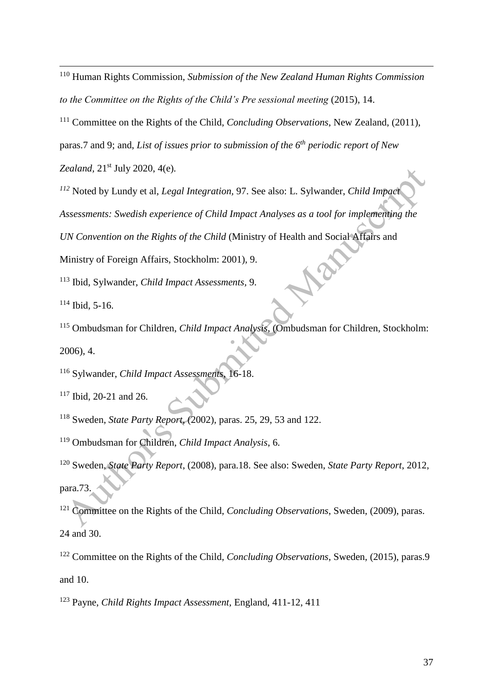<sup>110</sup> Human Rights Commission, *Submission of the New Zealand Human Rights Commission*  to the Committee on the Rights of the Child's Pre sessional meeting (2015), 14.

<sup>111</sup> Committee on the Rights of the Child, *Concluding Observations*, New Zealand, (2011),

paras.7 and 9; and, *List of issues prior to submission of the 6th periodic report of New* 

*Zealand,* 21st July 2020, 4(e)*.*

*<sup>112</sup>* Noted by Lundy et al, *Legal Integration,* 97. See also: L. Sylwander, *Child Impact* 

*Assessments: Swedish experience of Child Impact Analyses as a tool for implementing the* 

*UN Convention on the Rights of the Child* (Ministry of Health and Social Affairs and

Ministry of Foreign Affairs, Stockholm: 2001), 9.

<sup>113</sup> Ibid, Sylwander, *Child Impact Assessments,* 9.

 $114$  Ibid, 5-16.

1

<sup>115</sup> Ombudsman for Children, *Child Impact Analysis*, (Ombudsman for Children, Stockholm: 2006), 4.

<sup>116</sup> Sylwander, *Child Impact Assessments*, 16-18.

<sup>117</sup> Ibid, 20-21 and 26.

<sup>118</sup> Sweden, *State Party Report,* (2002), paras. 25, 29, 53 and 122.

<sup>119</sup> Ombudsman for Children, *Child Impact Analysis*, 6.

<sup>120</sup> Sweden, *State Party Report*, (2008), para.18. See also: Sweden, *State Party Report*, 2012, para.73.

Committee on the Rights of the Child, *Concluding Observations*, Sweden, (2009), paras. 24 and 30.

<sup>122</sup> Committee on the Rights of the Child, *Concluding Observations*, Sweden, (2015), paras.9 and 10.

<sup>123</sup> Payne, *Child Rights Impact Assessment,* England, 411-12, 411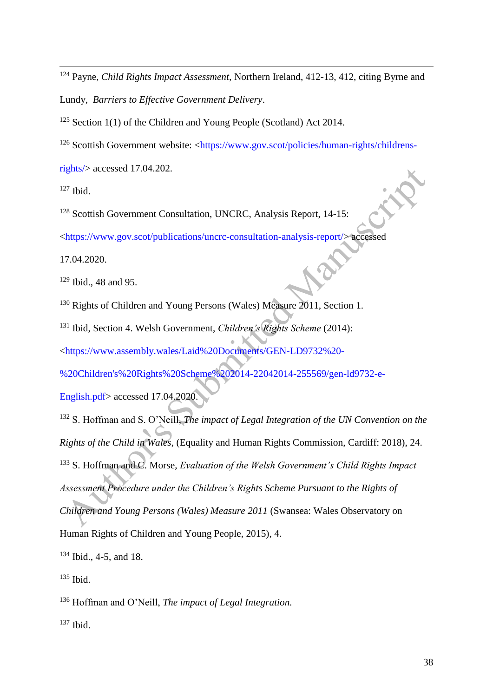<sup>124</sup> Payne, *Child Rights Impact Assessment,* Northern Ireland, 412-13, 412, citing Byrne and Lundy, *Barriers to Effective Government Delivery*.

<sup>125</sup> Section 1(1) of the Children and Young People (Scotland) Act 2014.

<sup>126</sup> Scottish Government website: [<https://www.gov.scot/policies/human-rights/childrens-](https://www.gov.scot/policies/human-rights/childrens-rights/)

[rights/>](https://www.gov.scot/policies/human-rights/childrens-rights/) accessed 17.04.202.

 $127$  Ibid.

1

<sup>128</sup> Scottish Government Consultation, UNCRC, Analysis Report, 14-15:

[<https://www.gov.scot/publications/uncrc-consultation-analysis-report/>](https://www.gov.scot/publications/uncrc-consultation-analysis-report/) accessed

17.04.2020.

<sup>129</sup> Ibid., 48 and 95.

<sup>130</sup> Rights of Children and Young Persons (Wales) Measure 2011, Section 1.

<sup>131</sup> Ibid, Section 4. Welsh Government, *Children's Rights Scheme* (2014):

[<https://www.assembly.wales/Laid%20Documents/GEN-LD9732%20-](https://www.assembly.wales/Laid%20Documents/GEN-LD9732%20-%20Children)

[%20Children's%20Rights%20Scheme%202014-22042014-255569/gen-ld9732-e-](https://www.assembly.wales/Laid%20Documents/GEN-LD9732%20-%20Children)

[English.pdf>](https://www.assembly.wales/Laid%20Documents/GEN-LD9732%20-%20Children) accessed 17.04.2020.

<sup>132</sup> S. Hoffman and S. O'Neill, *The impact of Legal Integration of the UN Convention on the Rights of the Child in Wales*, (Equality and Human Rights Commission, Cardiff: 2018), 24. <sup>133</sup> S. Hoffman and C. Morse, *Evaluation of the Welsh Government's Child Rights Impact Assessment Procedure under the Children's Rights Scheme Pursuant to the Rights of Children and Young Persons (Wales) Measure 2011* (Swansea: Wales Observatory on

Human Rights of Children and Young People, 2015), 4.

<sup>134</sup> Ibid., 4-5, and 18.

 $135$  Ibid.

<sup>136</sup> Hoffman and O'Neill, *The impact of Legal Integration.*

 $137$  Ibid.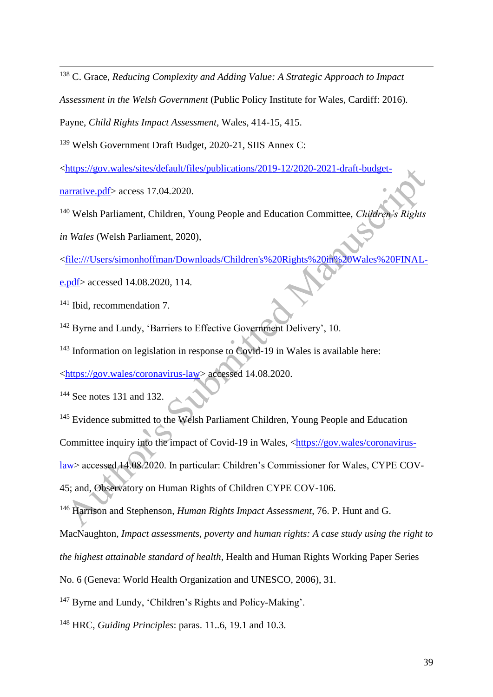<sup>138</sup> C. Grace, *Reducing Complexity and Adding Value: A Strategic Approach to Impact* 

*Assessment in the Welsh Government* (Public Policy Institute for Wales, Cardiff: 2016).

Payne, *Child Rights Impact Assessment*, Wales, 414-15, 415.

<sup>139</sup> Welsh Government Draft Budget, 2020-21, SIIS Annex C:

[<https://gov.wales/sites/default/files/publications/2019-12/2020-2021-draft-budget-](https://gov.wales/sites/default/files/publications/2019-12/2020-2021-draft-budget-narrative.pdf)

[narrative.pdf>](https://gov.wales/sites/default/files/publications/2019-12/2020-2021-draft-budget-narrative.pdf) access 17.04.2020.

1

<sup>140</sup> Welsh Parliament, Children, Young People and Education Committee, *Children's Rights* 

*in Wales* (Welsh Parliament, 2020),

[<file:///Users/simonhoffman/Downloads/Children's%20Rights%20in%20Wales%20FINAL-](/Users/simonhoffman/Downloads/Children)

[e.pdf>](/Users/simonhoffman/Downloads/Children) accessed 14.08.2020, 114.

<sup>141</sup> Ibid, recommendation 7.

<sup>142</sup> Byrne and Lundy, 'Barriers to Effective Government Delivery', 10.

<sup>143</sup> Information on legislation in response to Covid-19 in Wales is available here:

[<https://gov.wales/coronavirus-law>](https://gov.wales/coronavirus-law) accessed 14.08.2020.

<sup>144</sup> See notes 131 and 132.

<sup>145</sup> Evidence submitted to the Welsh Parliament Children, Young People and Education Committee inquiry into the impact of Covid-19 in Wales, [<https://gov.wales/coronavirus](https://gov.wales/coronavirus-law)[law>](https://gov.wales/coronavirus-law) accessed 14.08.2020. In particular: Children's Commissioner for Wales, CYPE COV-45; and, Observatory on Human Rights of Children CYPE COV-106.

<sup>146</sup> Harrison and Stephenson, *Human Rights Impact Assessment*, 76. P. Hunt and G.

MacNaughton, *Impact assessments, poverty and human rights: A case study using the right to* 

*the highest attainable standard of health*, Health and Human Rights Working Paper Series

No. 6 (Geneva: World Health Organization and UNESCO, 2006), 31.

<sup>147</sup> Byrne and Lundy, 'Children's Rights and Policy-Making'.

<sup>148</sup> HRC, *Guiding Principles*: paras. 11..6, 19.1 and 10.3.